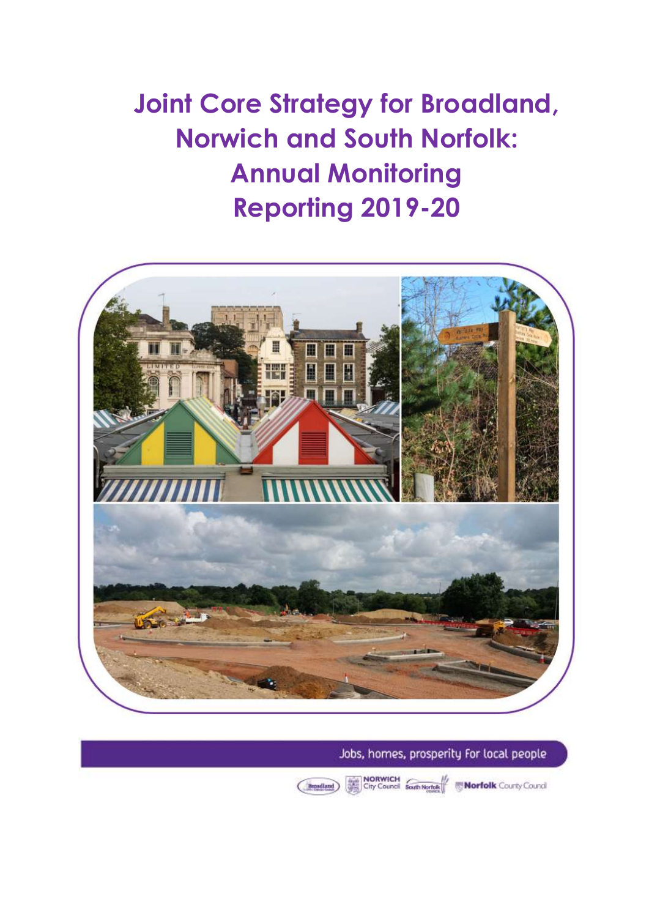**Joint Core Strategy for Broadland, Norwich and South Norfolk: Annual Monitoring Reporting 2019-20**



Jobs, homes, prosperity for local people

City Council South Nertols We Norfolk County Council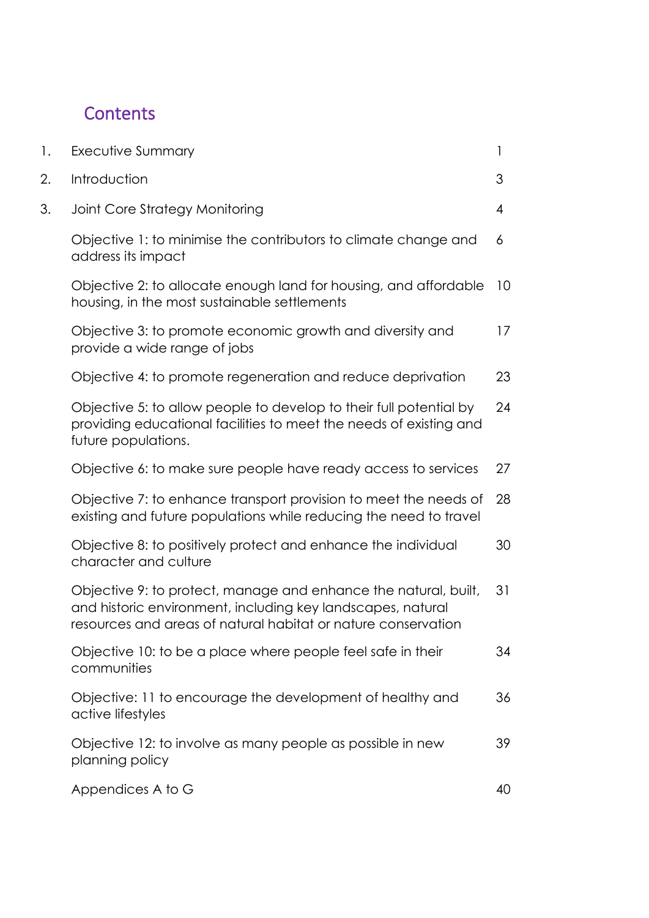# **Contents**

| Executive Summary                                                                                                                                                                               | 1               |
|-------------------------------------------------------------------------------------------------------------------------------------------------------------------------------------------------|-----------------|
| Introduction                                                                                                                                                                                    | 3               |
| Joint Core Strategy Monitoring                                                                                                                                                                  | 4               |
| Objective 1: to minimise the contributors to climate change and<br>address its impact                                                                                                           | 6               |
| Objective 2: to allocate enough land for housing, and affordable<br>housing, in the most sustainable settlements                                                                                | 10 <sup>°</sup> |
| Objective 3: to promote economic growth and diversity and<br>provide a wide range of jobs                                                                                                       | 17              |
| Objective 4: to promote regeneration and reduce deprivation                                                                                                                                     | 23              |
| Objective 5: to allow people to develop to their full potential by<br>providing educational facilities to meet the needs of existing and<br>future populations.                                 | 24              |
| Objective 6: to make sure people have ready access to services                                                                                                                                  | 27              |
| Objective 7: to enhance transport provision to meet the needs of<br>existing and future populations while reducing the need to travel                                                           | 28              |
| Objective 8: to positively protect and enhance the individual<br>character and culture                                                                                                          | 30              |
| Objective 9: to protect, manage and enhance the natural, built,<br>and historic environment, including key landscapes, natural<br>resources and areas of natural habitat or nature conservation | 31              |
| Objective 10: to be a place where people feel safe in their<br>communities                                                                                                                      | 34              |
| Objective: 11 to encourage the development of healthy and<br>active lifestyles                                                                                                                  | 36              |
| Objective 12: to involve as many people as possible in new<br>planning policy                                                                                                                   | 39              |
| Appendices A to G                                                                                                                                                                               | 40              |
|                                                                                                                                                                                                 |                 |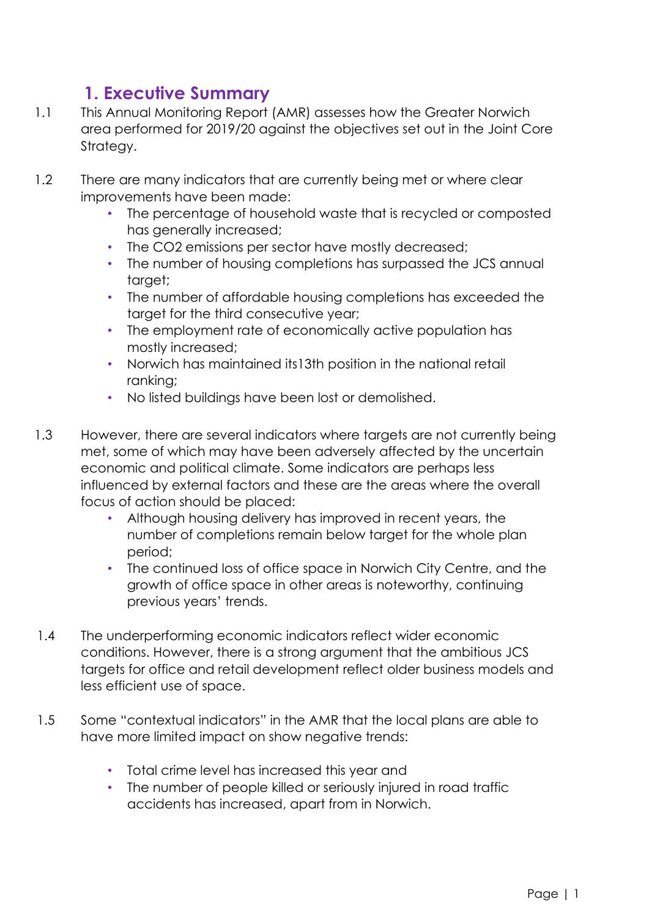# **1. Executive Summary**

- 1.1 This Annual Monitoring Report (AMR) assesses how the Greater Norwich area performed for 2019/20 against the objectives set out in the Joint Core Strategy.
- 1.2 There are many indicators that are currently being met or where clear improvements have been made:
	- The percentage of household waste that is recycled or composted has generally increased;
	- The CO2 emissions per sector have mostly decreased;
	- The number of housing completions has surpassed the JCS annual target;
	- The number of affordable housing completions has exceeded the target for the third consecutive year;
	- The employment rate of economically active population has mostly increased;
	- Norwich has maintained its13th position in the national retail ranking;
	- No listed buildings have been lost or demolished.
- 1.3 However, there are several indicators where targets are not currently being met, some of which may have been adversely affected by the uncertain economic and political climate. Some indicators are perhaps less influenced by external factors and these are the areas where the overall focus of action should be placed:
	- Although housing delivery has improved in recent years, the number of completions remain below target for the whole plan period;
	- The continued loss of office space in Norwich City Centre, and the growth of office space in other areas is noteworthy, continuing previous years' trends.
- 1.4 The underperforming economic indicators reflect wider economic conditions. However, there is a strong argument that the ambitious JCS targets for office and retail development reflect older business models and less efficient use of space.
- 1.5 Some "contextual indicators" in the AMR that the local plans are able to have more limited impact on show negative trends:
	- Total crime level has increased this year and
	- The number of people killed or seriously injured in road traffic accidents has increased, apart from in Norwich.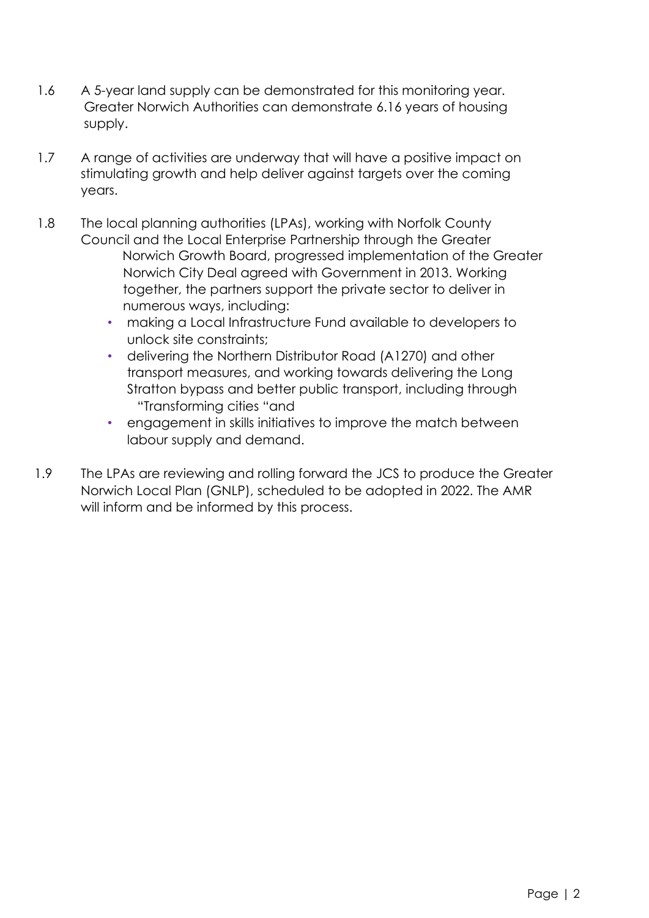- 1.6 A 5-year land supply can be demonstrated for this monitoring year. Greater Norwich Authorities can demonstrate 6.16 years of housing supply.
- 1.7 A range of activities are underway that will have a positive impact on stimulating growth and help deliver against targets over the coming years.
- 1.8 The local planning authorities (LPAs), working with Norfolk County Council and the Local Enterprise Partnership through the Greater Norwich Growth Board, progressed implementation of the Greater Norwich City Deal agreed with Government in 2013. Working together, the partners support the private sector to deliver in numerous ways, including:
	- making a Local Infrastructure Fund available to developers to unlock site constraints;
	- delivering the Northern Distributor Road (A1270) and other transport measures, and working towards delivering the Long Stratton bypass and better public transport, including through "Transforming cities "and
	- engagement in skills initiatives to improve the match between labour supply and demand.
- 1.9 The LPAs are reviewing and rolling forward the JCS to produce the Greater Norwich Local Plan (GNLP), scheduled to be adopted in 2022. The AMR will inform and be informed by this process.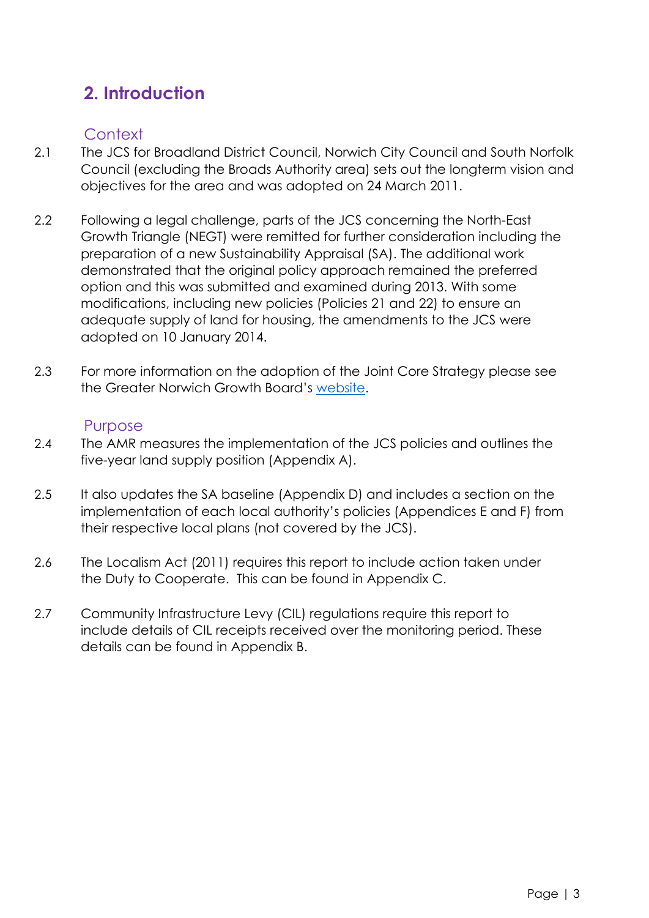# **2. Introduction**

# **Context**

- 2.1 The JCS for Broadland District Council, Norwich City Council and South Norfolk Council (excluding the Broads Authority area) sets out the longterm vision and objectives for the area and was adopted on 24 March 2011.
- 2.2 Following a legal challenge, parts of the JCS concerning the North-East Growth Triangle (NEGT) were remitted for further consideration including the preparation of a new Sustainability Appraisal (SA). The additional work demonstrated that the original policy approach remained the preferred option and this was submitted and examined during 2013. With some modifications, including new policies (Policies 21 and 22) to ensure an adequate supply of land for housing, the amendments to the JCS were adopted on 10 January 2014.
- 2.3 For more information on the adoption of the Joint Core Strategy please see the Greater Norwich Growth Board's [website.](http://www.greaternorwichgrowth.org.uk/planning/joint-core-strategy/)

# Purpose

- 2.4 The AMR measures the implementation of the JCS policies and outlines the five-year land supply position (Appendix A).
- 2.5 It also updates the SA baseline (Appendix D) and includes a section on the implementation of each local authority's policies (Appendices E and F) from their respective local plans (not covered by the JCS).
- 2.6 The Localism Act (2011) requires this report to include action taken under the Duty to Cooperate. This can be found in Appendix C.
- 2.7 Community Infrastructure Levy (CIL) regulations require this report to include details of CIL receipts received over the monitoring period. These details can be found in Appendix B.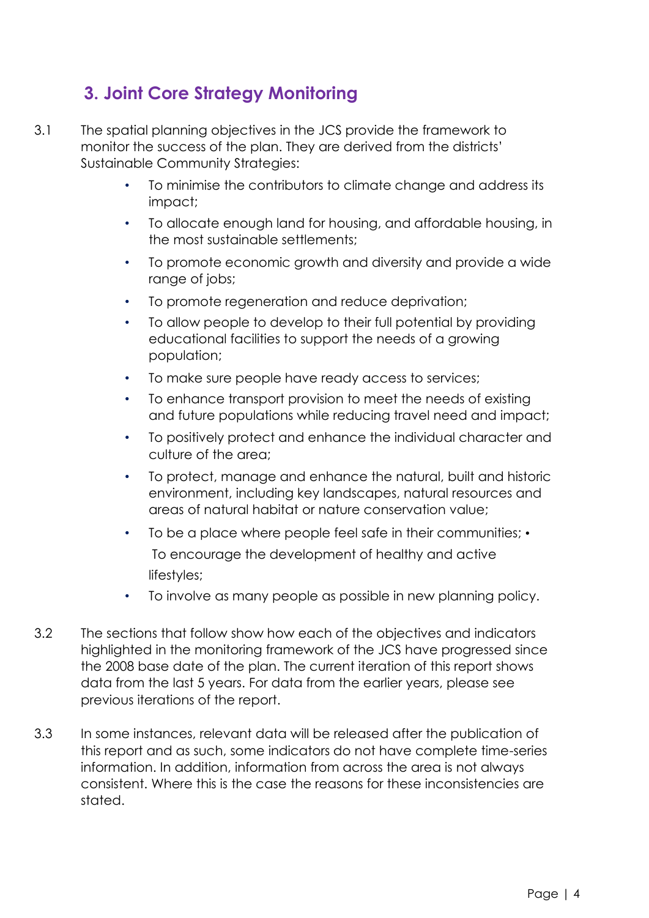# **3. Joint Core Strategy Monitoring**

- 3.1 The spatial planning objectives in the JCS provide the framework to monitor the success of the plan. They are derived from the districts' Sustainable Community Strategies:
	- To minimise the contributors to climate change and address its impact;
	- To allocate enough land for housing, and affordable housing, in the most sustainable settlements;
	- To promote economic growth and diversity and provide a wide range of jobs;
	- To promote regeneration and reduce deprivation;
	- To allow people to develop to their full potential by providing educational facilities to support the needs of a growing population;
	- To make sure people have ready access to services;
	- To enhance transport provision to meet the needs of existing and future populations while reducing travel need and impact;
	- To positively protect and enhance the individual character and culture of the area;
	- To protect, manage and enhance the natural, built and historic environment, including key landscapes, natural resources and areas of natural habitat or nature conservation value;
	- To be a place where people feel safe in their communities; To encourage the development of healthy and active lifestyles;
	- To involve as many people as possible in new planning policy.
- 3.2 The sections that follow show how each of the objectives and indicators highlighted in the monitoring framework of the JCS have progressed since the 2008 base date of the plan. The current iteration of this report shows data from the last 5 years. For data from the earlier years, please see previous iterations of the report.
- 3.3 In some instances, relevant data will be released after the publication of this report and as such, some indicators do not have complete time-series information. In addition, information from across the area is not always consistent. Where this is the case the reasons for these inconsistencies are stated.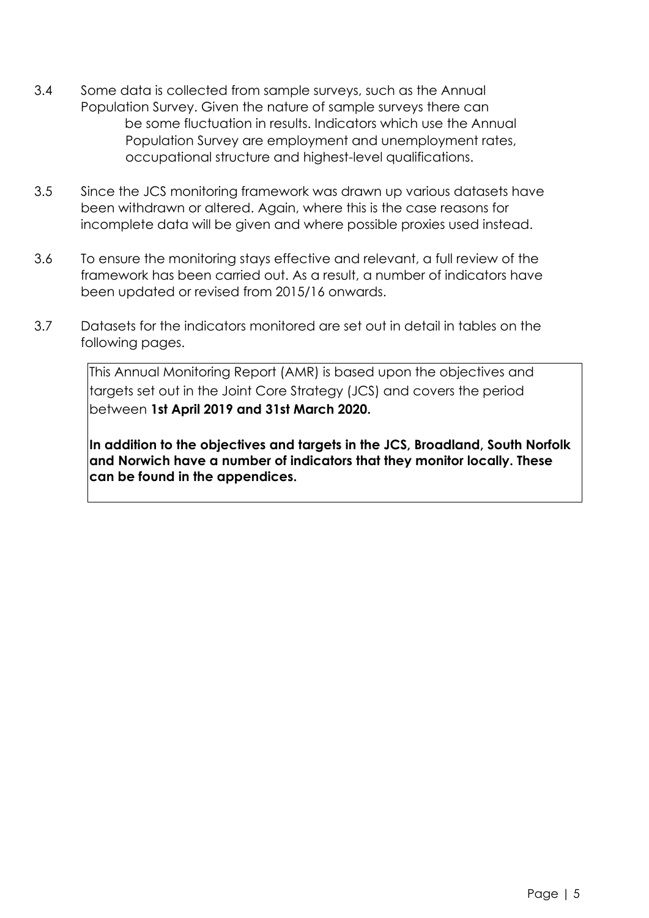- 3.4 Some data is collected from sample surveys, such as the Annual Population Survey. Given the nature of sample surveys there can be some fluctuation in results. Indicators which use the Annual Population Survey are employment and unemployment rates, occupational structure and highest-level qualifications.
- 3.5 Since the JCS monitoring framework was drawn up various datasets have been withdrawn or altered. Again, where this is the case reasons for incomplete data will be given and where possible proxies used instead.
- 3.6 To ensure the monitoring stays effective and relevant, a full review of the framework has been carried out. As a result, a number of indicators have been updated or revised from 2015/16 onwards.
- 3.7 Datasets for the indicators monitored are set out in detail in tables on the following pages.

This Annual Monitoring Report (AMR) is based upon the objectives and targets set out in the Joint Core Strategy (JCS) and covers the period between **1st April 2019 and 31st March 2020.** 

**In addition to the objectives and targets in the JCS, Broadland, South Norfolk and Norwich have a number of indicators that they monitor locally. These can be found in the appendices.**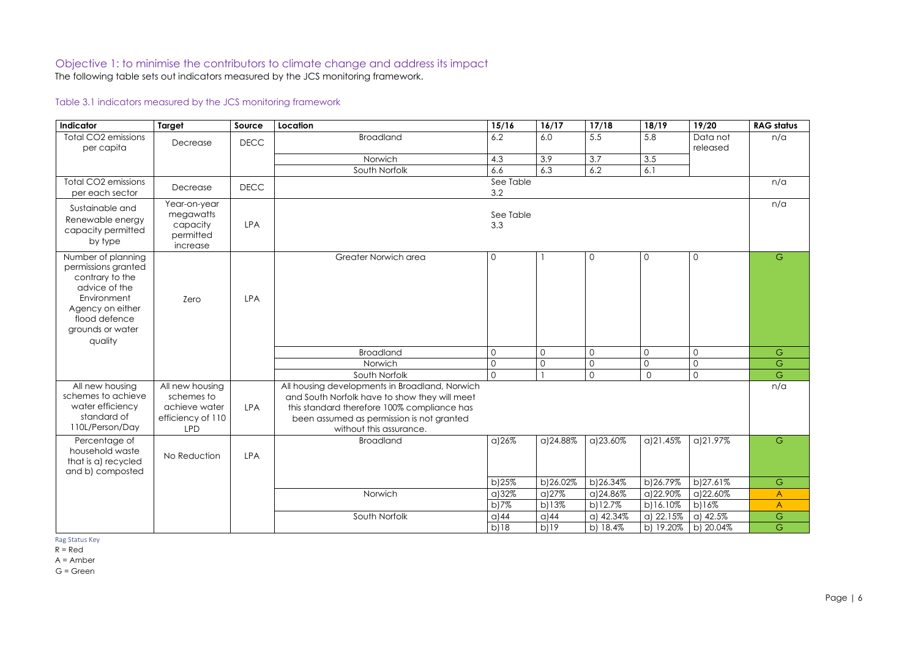# Objective 1: to minimise the contributors to climate change and address its impact

The following table sets out indicators measured by the JCS monitoring framework.

# Table 3.1 indicators measured by the JCS monitoring framework

| Indicator                                                                                                                                                        | Target                                                                            | Source      | Location                                                                                                                                                                                                               | 15/16            | 16/17          | 17/18          | 18/19          | 19/20               | <b>RAG status</b> |
|------------------------------------------------------------------------------------------------------------------------------------------------------------------|-----------------------------------------------------------------------------------|-------------|------------------------------------------------------------------------------------------------------------------------------------------------------------------------------------------------------------------------|------------------|----------------|----------------|----------------|---------------------|-------------------|
| <b>Total CO2 emissions</b>                                                                                                                                       | Decrease                                                                          | <b>DECC</b> | <b>Broadland</b>                                                                                                                                                                                                       | 6.2              | 6.0            | 5.5            | 5.8            | Data not            | n/a               |
| per capita                                                                                                                                                       |                                                                                   |             |                                                                                                                                                                                                                        |                  |                |                |                | released            |                   |
|                                                                                                                                                                  |                                                                                   |             | Norwich                                                                                                                                                                                                                | 4.3<br>6.6       | 3.9<br>6.3     | 3.7            | 3.5            |                     |                   |
| <b>Total CO2 emissions</b>                                                                                                                                       |                                                                                   |             | South Norfolk                                                                                                                                                                                                          | See Table        |                | 6.2            | 6.1            |                     | n/a               |
| per each sector                                                                                                                                                  | Decrease                                                                          | <b>DECC</b> |                                                                                                                                                                                                                        | 3.2              |                |                |                |                     |                   |
| Sustainable and<br>Renewable energy<br>capacity permitted<br>by type                                                                                             | Year-on-year<br>megawatts<br>capacity<br>permitted<br>increase                    | <b>LPA</b>  |                                                                                                                                                                                                                        | See Table<br>3.3 |                |                |                |                     | n/a               |
| Number of planning<br>permissions granted<br>contrary to the<br>advice of the<br>Environment<br>Agency on either<br>flood defence<br>grounds or water<br>quality | Zero                                                                              | <b>LPA</b>  | Greater Norwich area                                                                                                                                                                                                   | $\mathbf 0$      |                | $\mathsf{O}$   | $\mathcal{O}$  | $\mathsf{O}$        | G                 |
|                                                                                                                                                                  |                                                                                   |             | <b>Broadland</b>                                                                                                                                                                                                       | $\mathsf O$      | $\overline{0}$ | $\mathsf{O}$   | $\mathbf 0$    | $\mathsf O$         | G                 |
|                                                                                                                                                                  |                                                                                   |             | Norwich                                                                                                                                                                                                                | $\mathsf O$      | $\overline{0}$ | $\overline{0}$ | $\overline{0}$ | $\mathsf O$         | ${\mathbb G}$     |
|                                                                                                                                                                  |                                                                                   |             | South Norfolk                                                                                                                                                                                                          | $\Omega$         |                | $\mathsf{O}$   | $\Omega$       | $\mathsf{O}$        | G                 |
| All new housing<br>schemes to achieve<br>water efficiency<br>standard of<br>110L/Person/Day                                                                      | All new housing<br>schemes to<br>achieve water<br>efficiency of 110<br><b>LPD</b> | <b>LPA</b>  | All housing developments in Broadland, Norwich<br>and South Norfolk have to show they will meet<br>this standard therefore 100% compliance has<br>been assumed as permission is not granted<br>without this assurance. |                  |                |                |                |                     | n/a               |
| Percentage of<br>household waste<br>that is a) recycled<br>and b) composted                                                                                      | No Reduction                                                                      | <b>LPA</b>  | <b>Broadland</b>                                                                                                                                                                                                       | a)26%            | a)24.88%       | a)23.60%       | a)21.45%       | a)21.97%            | G                 |
|                                                                                                                                                                  |                                                                                   |             |                                                                                                                                                                                                                        | b)25%            | b)26.02%       | b)26.34%       | b)26.79%       | b)27.61%            | ${\mathsf G}$     |
|                                                                                                                                                                  |                                                                                   |             | Norwich                                                                                                                                                                                                                | a)32%            | a)27%          | a)24.86%       | a)22.90%       | a)22.60%            | $\mathsf{A}$      |
|                                                                                                                                                                  |                                                                                   |             |                                                                                                                                                                                                                        | b)7%             | b)13%          | b)12.7%        | b)16.10%       | b)16%               | $\mathsf{A}$      |
|                                                                                                                                                                  |                                                                                   |             | South Norfolk                                                                                                                                                                                                          | $\alpha$ )44     | a)44           | a) 42.34%      | a) 22.15%      | $\alpha$ ) 42.5%    | ${\mathbb G}$     |
|                                                                                                                                                                  |                                                                                   |             |                                                                                                                                                                                                                        | b)18             | b)19           | b) 18.4%       |                | b) 19.20% b) 20.04% | ${\mathsf G}$     |

Rag Status Key

 $R = Red$ 

A = Amber

G = Green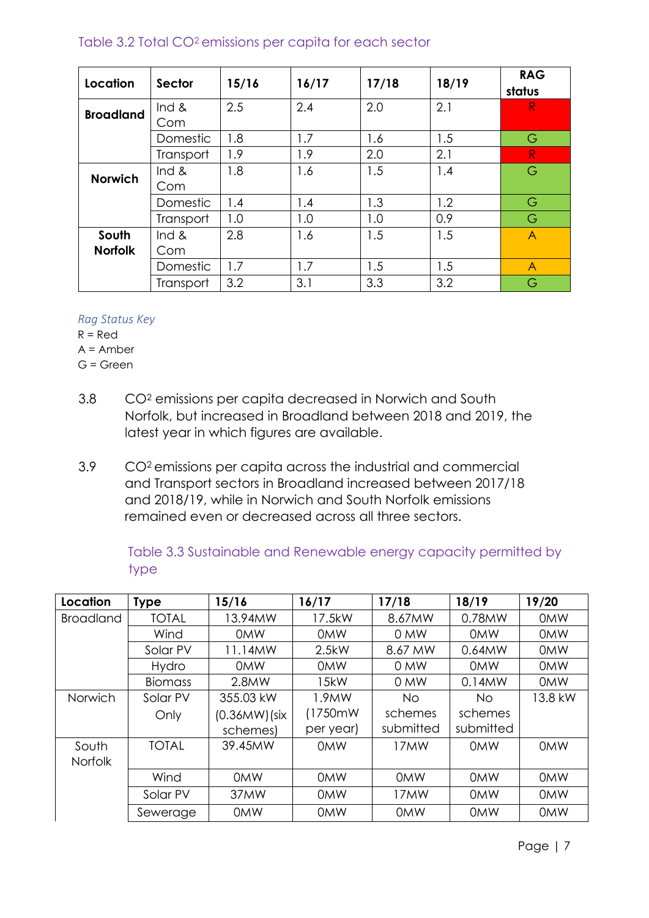# Table 3.2 Total CO2 emissions per capita for each sector

| Location                | Sector       | 15/16 | 16/17 | 17/18 | 18/19 | <b>RAG</b><br>status |
|-------------------------|--------------|-------|-------|-------|-------|----------------------|
| <b>Broadland</b>        | Ind &<br>Com | 2.5   | 2.4   | 2.0   | 2.1   | R.                   |
|                         | Domestic     | 1.8   | 1.7   | 1.6   | 1.5   | G                    |
|                         | Transport    | 1.9   | 1.9   | 2.0   | 2.1   | R                    |
| <b>Norwich</b>          | Ind &<br>Com | 1.8   | 1.6   | 1.5   | 1.4   | G                    |
|                         | Domestic     | 1.4   | 1.4   | 1.3   | 1.2   | G                    |
|                         | Transport    | 1.0   | 1.0   | 1.0   | 0.9   | G                    |
| South<br><b>Norfolk</b> | Ind &<br>Com | 2.8   | 1.6   | 1.5   | 1.5   | A                    |
|                         | Domestic     | 1.7   | 1.7   | 1.5   | 1.5   | $\overline{A}$       |
|                         | Transport    | 3.2   | 3.1   | 3.3   | 3.2   | G                    |

#### *Rag Status Key*

 $R = Red$  $A =$  Amber

G = Green

- 3.8 CO<sup>2</sup> emissions per capita decreased in Norwich and South Norfolk, but increased in Broadland between 2018 and 2019, the latest year in which figures are available.
- 3.9 CO2 emissions per capita across the industrial and commercial and Transport sectors in Broadland increased between 2017/18 and 2018/19, while in Norwich and South Norfolk emissions remained even or decreased across all three sectors.

| Table 3.3 Sustainable and Renewable energy capacity permitted by |  |  |  |
|------------------------------------------------------------------|--|--|--|
| type                                                             |  |  |  |

| Location         | <b>Type</b>    | 15/16           | 16/17      | 17/18      | 18/19      | 19/20      |
|------------------|----------------|-----------------|------------|------------|------------|------------|
| <b>Broadland</b> | <b>TOTAL</b>   | 13.94MW         | 17.5kW     | 8.67MW     | 0.78MW     | <b>OMW</b> |
|                  | Wind           | <b>OMW</b>      | <b>OMW</b> | 0 MW       | <b>OMW</b> | <b>OMW</b> |
|                  | Solar PV       | 11.14MW         | 2.5kW      | 8.67 MW    | 0.64MW     | <b>OMW</b> |
|                  | <b>Hydro</b>   | <b>OMW</b>      | <b>OMW</b> | 0 MW       | <b>OMW</b> | <b>OMW</b> |
|                  | <b>Biomass</b> | 2.8MW           | 15kW       | 0 MW       | $0.14$ MW  | <b>OMW</b> |
| Norwich          | Solar PV       | 355.03 kW       | 1.9MW      | No.        | No         | 13.8 kW    |
|                  | Only           | $(0.36MW)$ (six | (1750mW    | schemes    | schemes    |            |
|                  |                | schemes)        | per year)  | submitted  | submitted  |            |
| South            | <b>TOTAL</b>   | 39.45MW         | <b>OMW</b> | 17MW       | <b>OMW</b> | <b>OMW</b> |
| <b>Norfolk</b>   |                |                 |            |            |            |            |
|                  | Wind           | <b>OMW</b>      | <b>OMW</b> | <b>OMW</b> | <b>OMW</b> | <b>OMW</b> |
|                  | Solar PV       | 37MW            | <b>OMW</b> | 17MW       | <b>OMW</b> | <b>OMW</b> |
|                  | Sewerage       | <b>OMW</b>      | <b>OMW</b> | <b>OMW</b> | <b>OMW</b> | <b>OMW</b> |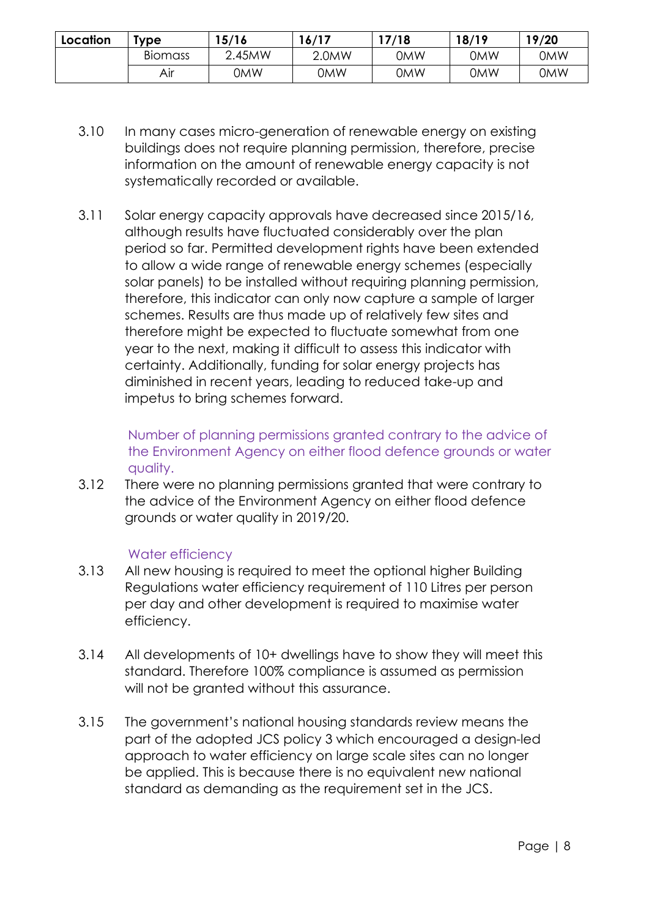| Location | 15/16<br>'ype  |        | 16/17 | 17/18      | 18/19      | 19/20      |
|----------|----------------|--------|-------|------------|------------|------------|
|          | <b>Biomass</b> | 2.45MW | 2.0MW | <b>OMW</b> | 0MW        | <b>OMW</b> |
|          | Air            | 0MW    | 0MW   | <b>OMW</b> | <b>OMW</b> | <b>OMW</b> |

- 3.10 In many cases micro-generation of renewable energy on existing buildings does not require planning permission, therefore, precise information on the amount of renewable energy capacity is not systematically recorded or available.
- 3.11 Solar energy capacity approvals have decreased since 2015/16, although results have fluctuated considerably over the plan period so far. Permitted development rights have been extended to allow a wide range of renewable energy schemes (especially solar panels) to be installed without requiring planning permission, therefore, this indicator can only now capture a sample of larger schemes. Results are thus made up of relatively few sites and therefore might be expected to fluctuate somewhat from one year to the next, making it difficult to assess this indicator with certainty. Additionally, funding for solar energy projects has diminished in recent years, leading to reduced take-up and impetus to bring schemes forward.

Number of planning permissions granted contrary to the advice of the Environment Agency on either flood defence grounds or water quality.

3.12 There were no planning permissions granted that were contrary to the advice of the Environment Agency on either flood defence grounds or water quality in 2019/20.

# Water efficiency

- 3.13 All new housing is required to meet the optional higher Building Regulations water efficiency requirement of 110 Litres per person per day and other development is required to maximise water efficiency.
- 3.14 All developments of 10+ dwellings have to show they will meet this standard. Therefore 100% compliance is assumed as permission will not be granted without this assurance.
- 3.15 The government's national housing standards review means the part of the adopted JCS policy 3 which encouraged a design-led approach to water efficiency on large scale sites can no longer be applied. This is because there is no equivalent new national standard as demanding as the requirement set in the JCS.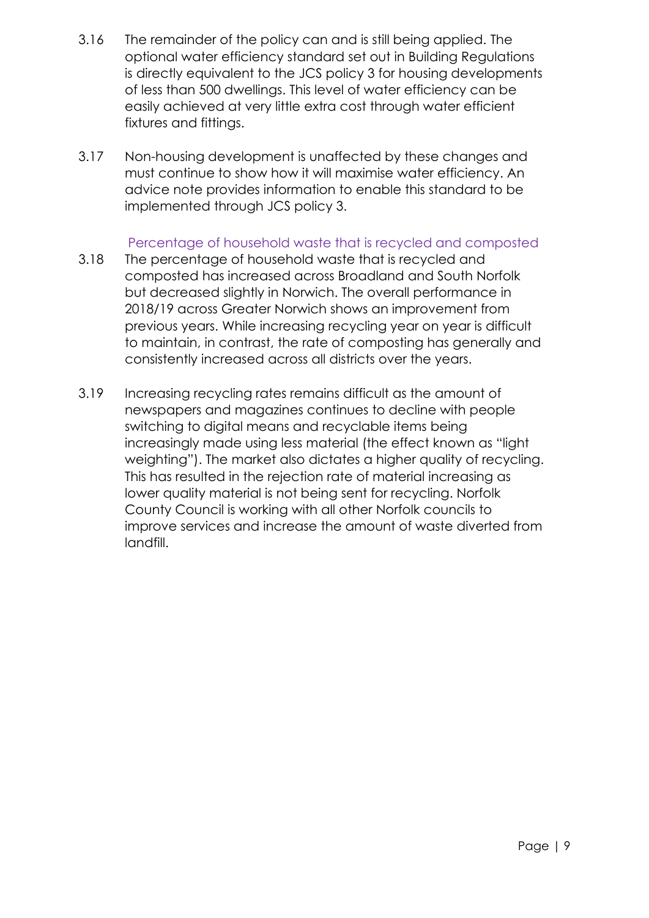- 3.16 The remainder of the policy can and is still being applied. The optional water efficiency standard set out in Building Regulations is directly equivalent to the JCS policy 3 for housing developments of less than 500 dwellings. This level of water efficiency can be easily achieved at very little extra cost through water efficient fixtures and fittings.
- 3.17 Non-housing development is unaffected by these changes and must continue to show how it will maximise water efficiency. An advice note provides information to enable this standard to be implemented through JCS policy 3.

# Percentage of household waste that is recycled and composted

- 3.18 The percentage of household waste that is recycled and composted has increased across Broadland and South Norfolk but decreased slightly in Norwich. The overall performance in 2018/19 across Greater Norwich shows an improvement from previous years. While increasing recycling year on year is difficult to maintain, in contrast, the rate of composting has generally and consistently increased across all districts over the years.
- 3.19 Increasing recycling rates remains difficult as the amount of newspapers and magazines continues to decline with people switching to digital means and recyclable items being increasingly made using less material (the effect known as "light weighting"). The market also dictates a higher quality of recycling. This has resulted in the rejection rate of material increasing as lower quality material is not being sent for recycling. Norfolk County Council is working with all other Norfolk councils to improve services and increase the amount of waste diverted from landfill.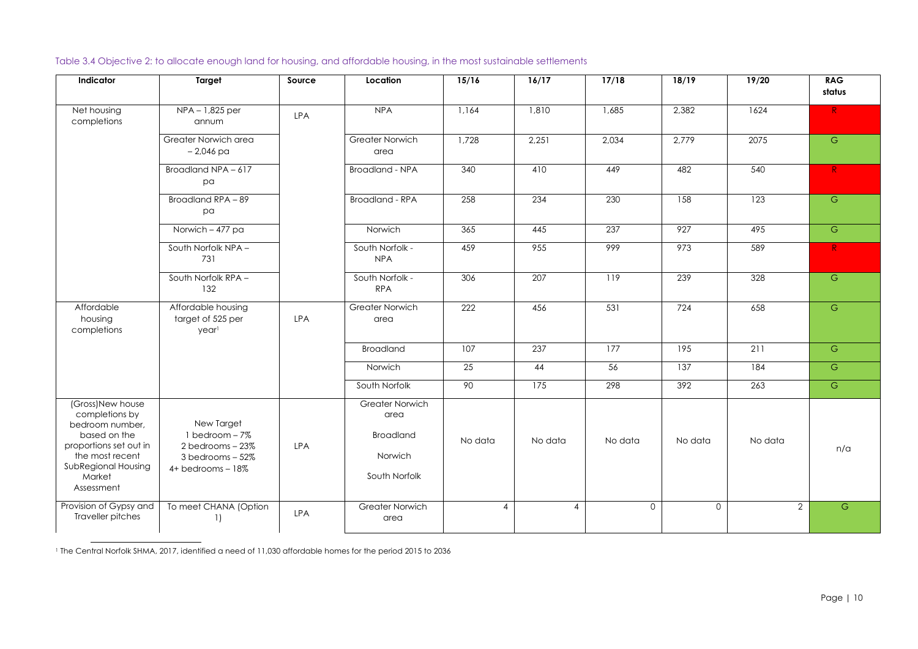Table 3.4 Objective 2: to allocate enough land for housing, and affordable housing, in the most sustainable settlements

| Indicator                                                                                                                                                         | <b>Target</b>                                                                                         | Source     | Location                                                                       | 15/16          | 16/17   | 17/18          | 18/19          | 19/20          | <b>RAG</b><br>status |
|-------------------------------------------------------------------------------------------------------------------------------------------------------------------|-------------------------------------------------------------------------------------------------------|------------|--------------------------------------------------------------------------------|----------------|---------|----------------|----------------|----------------|----------------------|
| Net housing<br>completions                                                                                                                                        | NPA - 1,825 per<br>annum                                                                              | <b>LPA</b> | <b>NPA</b>                                                                     | 1,164          | 1,810   | 1,685          | 2,382          | 1624           | R                    |
|                                                                                                                                                                   | Greater Norwich area<br>$-2,046$ pa                                                                   |            | <b>Greater Norwich</b><br>area                                                 | 1,728          | 2,251   | 2,034          | 2,779          | 2075           | G                    |
|                                                                                                                                                                   | Broadland NPA - 617<br>pa                                                                             |            | <b>Broadland - NPA</b>                                                         | 340            | 410     | 449            | 482            | 540            | R                    |
|                                                                                                                                                                   | Broadland RPA - 89<br>pa                                                                              |            | <b>Broadland - RPA</b>                                                         | 258            | 234     | 230            | 158            | 123            | $\mathsf{G}$         |
|                                                                                                                                                                   | Norwich - 477 pa                                                                                      |            | Norwich                                                                        | 365            | 445     | 237            | 927            | 495            | $\overline{G}$       |
|                                                                                                                                                                   | South Norfolk NPA -<br>731                                                                            |            | South Norfolk -<br><b>NPA</b>                                                  | 459            | 955     | 999            | 973            | 589            | R                    |
|                                                                                                                                                                   | South Norfolk RPA -<br>132                                                                            |            | South Norfolk -<br><b>RPA</b>                                                  | 306            | 207     | 119            | 239            | 328            | $\mathsf{G}$         |
| Affordable<br>housing<br>completions                                                                                                                              | Affordable housing<br>target of 525 per<br>yearl                                                      | LPA        | Greater Norwich<br>area                                                        | 222            | 456     | 531            | 724            | 658            | $\mathsf{G}$         |
|                                                                                                                                                                   |                                                                                                       |            | <b>Broadland</b>                                                               | 107            | 237     | 177            | 195            | 211            | G                    |
|                                                                                                                                                                   |                                                                                                       |            | Norwich                                                                        | 25             | 44      | 56             | 137            | 184            | $\mathsf{G}$         |
|                                                                                                                                                                   |                                                                                                       |            | South Norfolk                                                                  | 90             | 175     | 298            | 392            | 263            | $\mathsf{G}$         |
| (Gross)New house<br>completions by<br>bedroom number,<br>based on the<br>proportions set out in<br>the most recent<br>SubRegional Housing<br>Market<br>Assessment | New Target<br>$1$ bedroom $-7\%$<br>2 bedrooms - 23%<br>$3$ bedrooms $-52\%$<br>$4+$ bedrooms $-18\%$ | <b>LPA</b> | <b>Greater Norwich</b><br>area<br><b>Broadland</b><br>Norwich<br>South Norfolk | No data        | No data | No data        | No data        | No data        | n/a                  |
| Provision of Gypsy and<br>Traveller pitches                                                                                                                       | To meet CHANA (Option<br>1)                                                                           | <b>LPA</b> | <b>Greater Norwich</b><br>area                                                 | $\overline{4}$ | 4       | $\overline{O}$ | $\overline{0}$ | $\overline{2}$ | ${\mathsf G}$        |

<sup>1</sup> The Central Norfolk SHMA, 2017, identified a need of 11,030 affordable homes for the period 2015 to 2036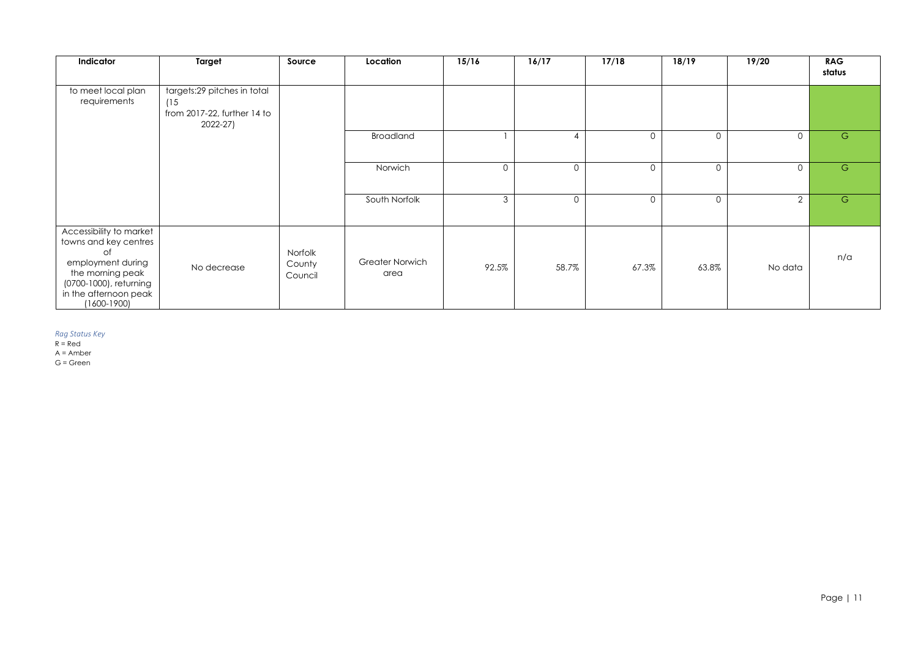| Indicator                                                                                                                                                             | <b>Target</b>                                                                    | Source                       | Location                       | 15/16          | 16/17          | 17/18          | 18/19          | 19/20          | <b>RAG</b><br>status |
|-----------------------------------------------------------------------------------------------------------------------------------------------------------------------|----------------------------------------------------------------------------------|------------------------------|--------------------------------|----------------|----------------|----------------|----------------|----------------|----------------------|
| to meet local plan<br>requirements                                                                                                                                    | targets:29 pitches in total<br>(15<br>from 2017-22, further 14 to<br>$2022 - 27$ |                              |                                |                |                |                |                |                |                      |
|                                                                                                                                                                       |                                                                                  |                              | <b>Broadland</b>               |                | 4              | $\overline{0}$ | $\overline{0}$ | $\overline{O}$ | $\overline{G}$       |
|                                                                                                                                                                       |                                                                                  |                              | Norwich                        | $\mathsf{O}$   | $\overline{0}$ | $\overline{0}$ | $\overline{0}$ | $\overline{O}$ | ${\mathsf G}$        |
|                                                                                                                                                                       |                                                                                  |                              | South Norfolk                  | $\mathfrak{Z}$ | $\overline{0}$ | $\overline{0}$ | $\overline{O}$ | $\overline{2}$ | G                    |
| Accessibility to market<br>towns and key centres<br>of<br>employment during<br>the morning peak<br>(0700-1000), returning<br>in the afternoon peak<br>$(1600 - 1900)$ | No decrease                                                                      | Norfolk<br>County<br>Council | <b>Greater Norwich</b><br>area | 92.5%          | 58.7%          | 67.3%          | 63.8%          | No data        | n/a                  |

#### *Rag Status Key*

R = Red

A = Amber

G = Green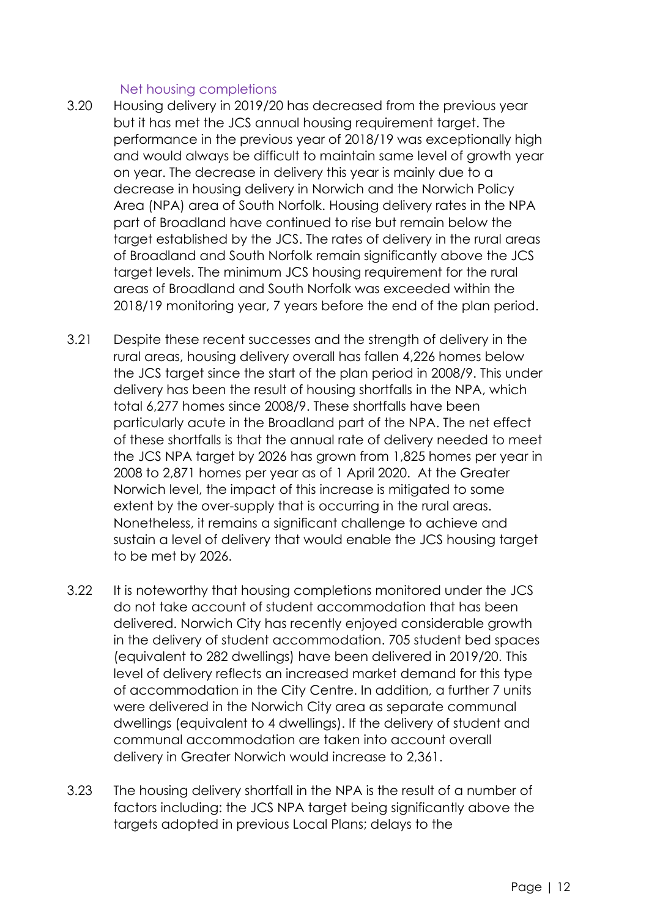# Net housing completions

- 3.20 Housing delivery in 2019/20 has decreased from the previous year but it has met the JCS annual housing requirement target. The performance in the previous year of 2018/19 was exceptionally high and would always be difficult to maintain same level of growth year on year. The decrease in delivery this year is mainly due to a decrease in housing delivery in Norwich and the Norwich Policy Area (NPA) area of South Norfolk. Housing delivery rates in the NPA part of Broadland have continued to rise but remain below the target established by the JCS. The rates of delivery in the rural areas of Broadland and South Norfolk remain significantly above the JCS target levels. The minimum JCS housing requirement for the rural areas of Broadland and South Norfolk was exceeded within the 2018/19 monitoring year, 7 years before the end of the plan period.
- 3.21 Despite these recent successes and the strength of delivery in the rural areas, housing delivery overall has fallen 4,226 homes below the JCS target since the start of the plan period in 2008/9. This under delivery has been the result of housing shortfalls in the NPA, which total 6,277 homes since 2008/9. These shortfalls have been particularly acute in the Broadland part of the NPA. The net effect of these shortfalls is that the annual rate of delivery needed to meet the JCS NPA target by 2026 has grown from 1,825 homes per year in 2008 to 2,871 homes per year as of 1 April 2020. At the Greater Norwich level, the impact of this increase is mitigated to some extent by the over-supply that is occurring in the rural areas. Nonetheless, it remains a significant challenge to achieve and sustain a level of delivery that would enable the JCS housing target to be met by 2026.
- 3.22 It is noteworthy that housing completions monitored under the JCS do not take account of student accommodation that has been delivered. Norwich City has recently enjoyed considerable growth in the delivery of student accommodation. 705 student bed spaces (equivalent to 282 dwellings) have been delivered in 2019/20. This level of delivery reflects an increased market demand for this type of accommodation in the City Centre. In addition, a further 7 units were delivered in the Norwich City area as separate communal dwellings (equivalent to 4 dwellings). If the delivery of student and communal accommodation are taken into account overall delivery in Greater Norwich would increase to 2,361.
- 3.23 The housing delivery shortfall in the NPA is the result of a number of factors including: the JCS NPA target being significantly above the targets adopted in previous Local Plans; delays to the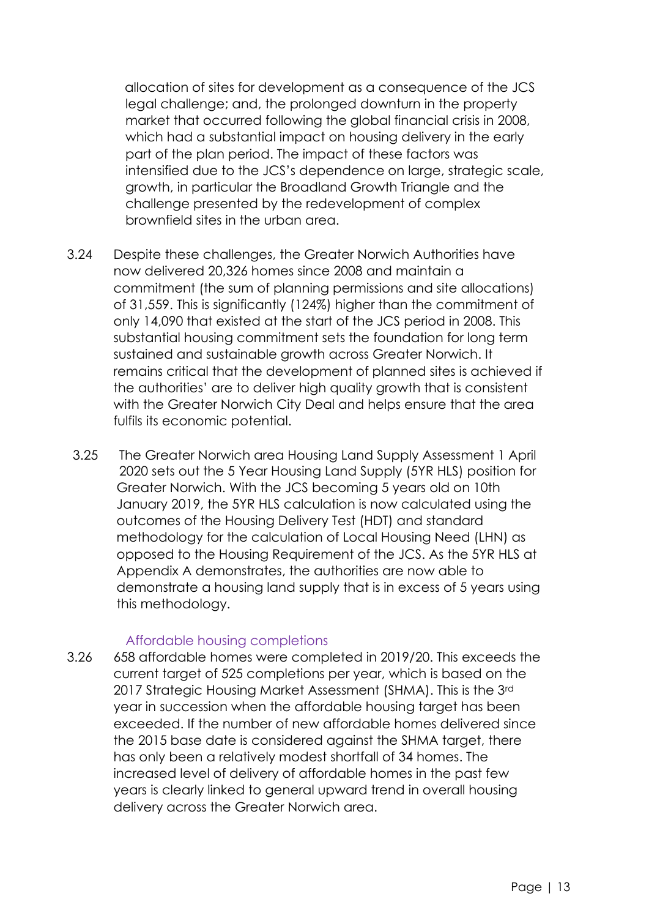allocation of sites for development as a consequence of the JCS legal challenge; and, the prolonged downturn in the property market that occurred following the global financial crisis in 2008, which had a substantial impact on housing delivery in the early part of the plan period. The impact of these factors was intensified due to the JCS's dependence on large, strategic scale, growth, in particular the Broadland Growth Triangle and the challenge presented by the redevelopment of complex brownfield sites in the urban area.

- 3.24 Despite these challenges, the Greater Norwich Authorities have now delivered 20,326 homes since 2008 and maintain a commitment (the sum of planning permissions and site allocations) of 31,559. This is significantly (124%) higher than the commitment of only 14,090 that existed at the start of the JCS period in 2008. This substantial housing commitment sets the foundation for long term sustained and sustainable growth across Greater Norwich. It remains critical that the development of planned sites is achieved if the authorities' are to deliver high quality growth that is consistent with the Greater Norwich City Deal and helps ensure that the area fulfils its economic potential.
- 3.25 The Greater Norwich area Housing Land Supply Assessment 1 April 2020 sets out the 5 Year Housing Land Supply (5YR HLS) position for Greater Norwich. With the JCS becoming 5 years old on 10th January 2019, the 5YR HLS calculation is now calculated using the outcomes of the Housing Delivery Test (HDT) and standard methodology for the calculation of Local Housing Need (LHN) as opposed to the Housing Requirement of the JCS. As the 5YR HLS at Appendix A demonstrates, the authorities are now able to demonstrate a housing land supply that is in excess of 5 years using this methodology.

#### Affordable housing completions

3.26 658 affordable homes were completed in 2019/20. This exceeds the current target of 525 completions per year, which is based on the 2017 Strategic Housing Market Assessment (SHMA). This is the 3rd year in succession when the affordable housing target has been exceeded. If the number of new affordable homes delivered since the 2015 base date is considered against the SHMA target, there has only been a relatively modest shortfall of 34 homes. The increased level of delivery of affordable homes in the past few years is clearly linked to general upward trend in overall housing delivery across the Greater Norwich area.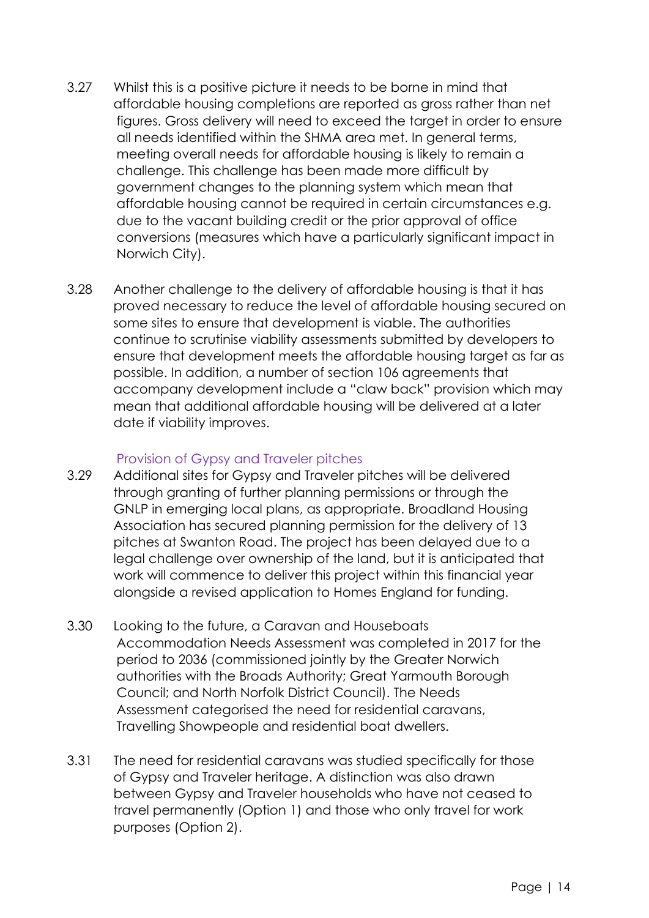- 3.27 Whilst this is a positive picture it needs to be borne in mind that affordable housing completions are reported as gross rather than net figures. Gross delivery will need to exceed the target in order to ensure all needs identified within the SHMA area met. In general terms, meeting overall needs for affordable housing is likely to remain a challenge. This challenge has been made more difficult by government changes to the planning system which mean that affordable housing cannot be required in certain circumstances e.g. due to the vacant building credit or the prior approval of office conversions (measures which have a particularly significant impact in Norwich City).
- 3.28 Another challenge to the delivery of affordable housing is that it has proved necessary to reduce the level of affordable housing secured on some sites to ensure that development is viable. The authorities continue to scrutinise viability assessments submitted by developers to ensure that development meets the affordable housing target as far as possible. In addition, a number of section 106 agreements that accompany development include a "claw back" provision which may mean that additional affordable housing will be delivered at a later date if viability improves.

# Provision of Gypsy and Traveler pitches

- 3.29 Additional sites for Gypsy and Traveler pitches will be delivered through granting of further planning permissions or through the GNLP in emerging local plans, as appropriate. Broadland Housing Association has secured planning permission for the delivery of 13 pitches at Swanton Road. The project has been delayed due to a legal challenge over ownership of the land, but it is anticipated that work will commence to deliver this project within this financial year alongside a revised application to Homes England for funding.
- 3.30 Looking to the future, a Caravan and Houseboats Accommodation Needs Assessment was completed in 2017 for the period to 2036 (commissioned jointly by the Greater Norwich authorities with the Broads Authority; Great Yarmouth Borough Council; and North Norfolk District Council). The Needs Assessment categorised the need for residential caravans, Travelling Showpeople and residential boat dwellers.
- 3.31 The need for residential caravans was studied specifically for those of Gypsy and Traveler heritage. A distinction was also drawn between Gypsy and Traveler households who have not ceased to travel permanently (Option 1) and those who only travel for work purposes (Option 2).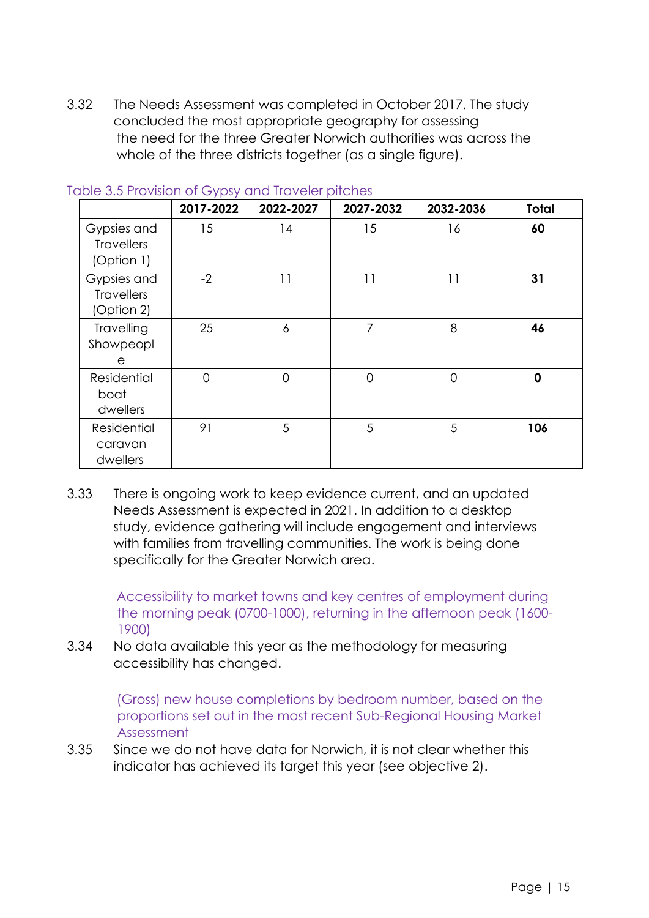3.32 The Needs Assessment was completed in October 2017. The study concluded the most appropriate geography for assessing the need for the three Greater Norwich authorities was across the whole of the three districts together (as a single figure).

|                                                | $\cdots$ . $\cdots$ . $\cdots$ $\cdots$ $\cdots$ $\cdots$<br>2017-2022 | 2022-2027      | 2027-2032 | 2032-2036      | Total       |
|------------------------------------------------|------------------------------------------------------------------------|----------------|-----------|----------------|-------------|
| Gypsies and<br><b>Travellers</b><br>(Option 1) | 15                                                                     | 14             | 15        | 16             | 60          |
| Gypsies and<br><b>Travellers</b><br>(Option 2) | $-2$                                                                   | 11             | 11        | 11             | 31          |
| Travelling<br>Showpeopl<br>е                   | 25                                                                     | 6              | 7         | 8              | 46          |
| Residential<br>boat<br>dwellers                | 0                                                                      | $\overline{0}$ | 0         | $\overline{0}$ | $\mathbf 0$ |
| Residential<br>caravan<br>dwellers             | 91                                                                     | 5              | 5         | $\sqrt{5}$     | 106         |

#### Table 3.5 Provision of Gypsy and Traveler pitches

3.33 There is ongoing work to keep evidence current, and an updated Needs Assessment is expected in 2021. In addition to a desktop study, evidence gathering will include engagement and interviews with families from travelling communities. The work is being done specifically for the Greater Norwich area.

> Accessibility to market towns and key centres of employment during the morning peak (0700-1000), returning in the afternoon peak (1600- 1900)

3.34 No data available this year as the methodology for measuring accessibility has changed.

> (Gross) new house completions by bedroom number, based on the proportions set out in the most recent Sub-Regional Housing Market Assessment

3.35 Since we do not have data for Norwich, it is not clear whether this indicator has achieved its target this year (see objective 2).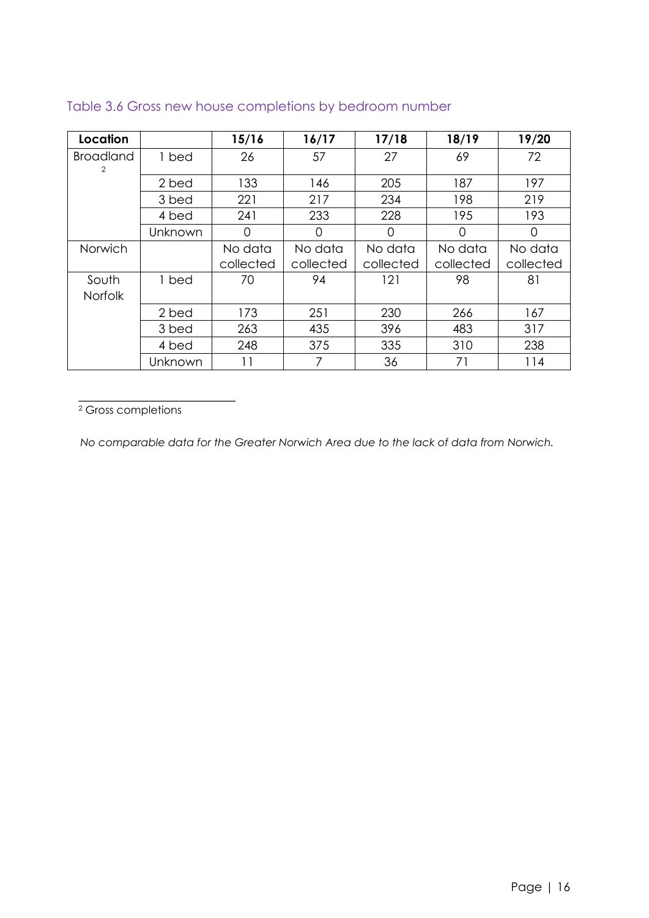| Location                           |         | 15/16     | 16/17     | 17/18     | 18/19     | 19/20     |
|------------------------------------|---------|-----------|-----------|-----------|-----------|-----------|
| <b>Broadland</b><br>$\overline{2}$ | 1 bed   | 26        | 57        | 27        | 69        | 72        |
|                                    | 2 bed   | 133       | 146       | 205       | 187       | 197       |
|                                    | 3 bed   | 221       | 217       | 234       | 198       | 219       |
|                                    | 4 bed   | 241       | 233       | 228       | 195       | 193       |
|                                    | Unknown | ∩         | 0         | 0         | ∩         | 0         |
| Norwich                            |         | No data   | No data   | No data   | No data   | No data   |
|                                    |         | collected | collected | collected | collected | collected |
| South<br><b>Norfolk</b>            | 1 bed   | 70        | 94        | 121       | 98        | 81        |
|                                    | 2 bed   | 173       | 251       | 230       | 266       | 167       |
|                                    | 3 bed   | 263       | 435       | 396       | 483       | 317       |
|                                    | 4 bed   | 248       | 375       | 335       | 310       | 238       |
|                                    | Unknown | 11        | 7         | 36        | 71        | 114       |

# Table 3.6 Gross new house completions by bedroom number

<sup>2</sup> Gross completions

*No comparable data for the Greater Norwich Area due to the lack of data from Norwich.*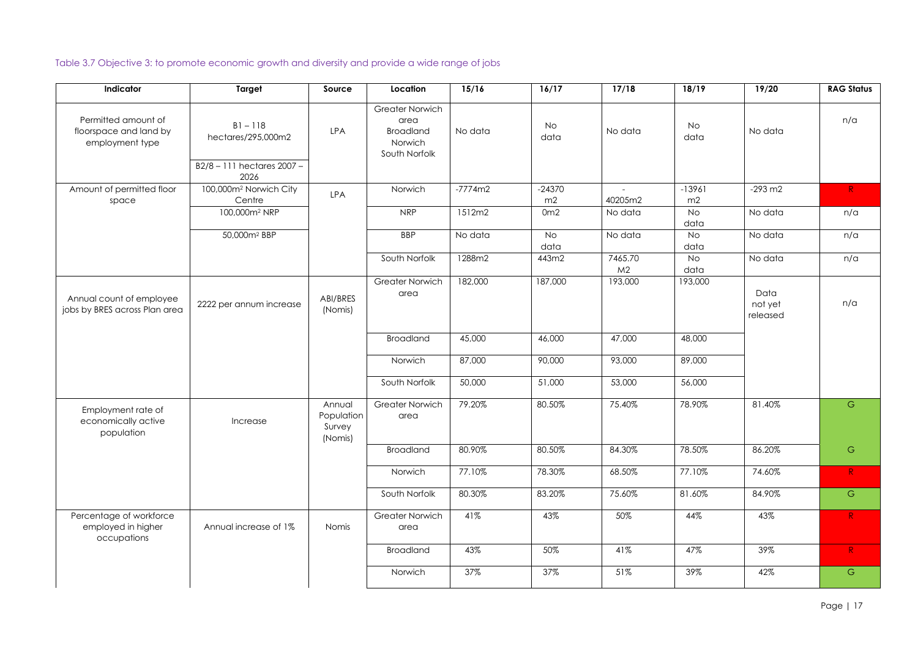Page | 17

Table 3.7 Objective 3: to promote economic growth and diversity and provide a wide range of jobs

| Indicator                                                        | <b>Target</b>                                               | Source                                    | Location                                                                       | 15/16     | 16/17             | 17/18                     | 18/19          | 19/20                       | <b>RAG Status</b> |
|------------------------------------------------------------------|-------------------------------------------------------------|-------------------------------------------|--------------------------------------------------------------------------------|-----------|-------------------|---------------------------|----------------|-----------------------------|-------------------|
| Permitted amount of<br>floorspace and land by<br>employment type | $B1 - 118$<br>hectares/295,000m2<br>B2/8-111 hectares 2007- | <b>LPA</b>                                | <b>Greater Norwich</b><br>area<br><b>Broadland</b><br>Norwich<br>South Norfolk | No data   | No<br>data        | No data                   | No<br>data     | No data                     | n/a               |
|                                                                  | 2026                                                        |                                           |                                                                                |           |                   |                           |                |                             |                   |
| Amount of permitted floor<br>space                               | 100,000m <sup>2</sup> Norwich City<br>Centre                | <b>LPA</b>                                | Norwich                                                                        | $-7774m2$ | $-24370$<br>m2    | $\sim$ $-$<br>40205m2     | $-13961$<br>m2 | $-293 \text{ m2}$           | R                 |
|                                                                  | 100,000m <sup>2</sup> NRP                                   |                                           | <b>NRP</b>                                                                     | 1512m2    | 0 <sub>m2</sub>   | No data                   | No<br>data     | No data                     | n/a               |
|                                                                  | 50,000m <sup>2</sup> BBP                                    |                                           | <b>BBP</b>                                                                     | No data   | <b>No</b><br>data | No data                   | No<br>data     | No data                     | n/a               |
|                                                                  |                                                             |                                           | South Norfolk                                                                  | 1288m2    | 443m2             | 7465.70<br>M <sub>2</sub> | No<br>data     | No data                     | n/a               |
| Annual count of employee<br>jobs by BRES across Plan area        | 2222 per annum increase                                     | ABI/BRES<br>(Nomis)                       | <b>Greater Norwich</b><br>area                                                 | 182,000   | 187,000           | 193,000                   | 193,000        | Data<br>not yet<br>released | n/a               |
|                                                                  |                                                             |                                           | <b>Broadland</b>                                                               | 45,000    | 46,000            | 47,000                    | 48,000         |                             |                   |
|                                                                  |                                                             |                                           | Norwich                                                                        | 87,000    | 90,000            | 93,000                    | 89,000         |                             |                   |
|                                                                  |                                                             |                                           | South Norfolk                                                                  | 50,000    | 51,000            | 53,000                    | 56,000         |                             |                   |
| Employment rate of<br>economically active<br>population          | Increase                                                    | Annual<br>Population<br>Survey<br>(Nomis) | <b>Greater Norwich</b><br>area                                                 | 79.20%    | 80.50%            | 75.40%                    | 78.90%         | 81.40%                      | G                 |
|                                                                  |                                                             |                                           | <b>Broadland</b>                                                               | 80.90%    | 80.50%            | 84.30%                    | 78.50%         | 86.20%                      | G                 |
|                                                                  |                                                             |                                           | Norwich                                                                        | 77.10%    | 78.30%            | 68.50%                    | 77.10%         | 74.60%                      | R                 |
|                                                                  |                                                             |                                           | South Norfolk                                                                  | 80.30%    | 83.20%            | 75.60%                    | 81.60%         | 84.90%                      | G                 |
| Percentage of workforce<br>employed in higher<br>occupations     | Annual increase of 1%                                       | Nomis                                     | <b>Greater Norwich</b><br>area                                                 | 41%       | 43%               | 50%                       | 44%            | 43%                         | R                 |
|                                                                  |                                                             |                                           | <b>Broadland</b>                                                               | 43%       | 50%               | 41%                       | 47%            | 39%                         | R                 |
|                                                                  |                                                             |                                           | Norwich                                                                        | 37%       | 37%               | 51%                       | 39%            | 42%                         | ${\mathbb G}$     |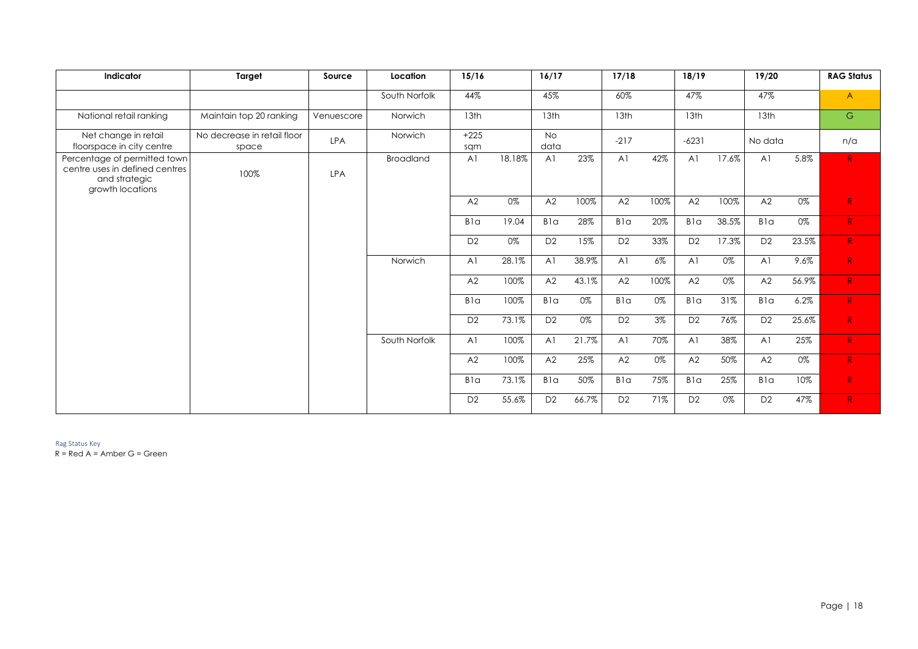Rag Status Key

 $R = Red A = Amber G = Green$ 

| Indicator                                                                                           | <b>Target</b>                        | Source     | Location         | 15/16          |        | 16/17             |       | 17/18          |       | 18/19            |       | 19/20            |       | <b>RAG Status</b> |
|-----------------------------------------------------------------------------------------------------|--------------------------------------|------------|------------------|----------------|--------|-------------------|-------|----------------|-------|------------------|-------|------------------|-------|-------------------|
|                                                                                                     |                                      |            | South Norfolk    | 44%            |        | 45%               |       | 60%            |       | 47%              |       | 47%              |       | $\mathsf{A}$      |
| National retail ranking                                                                             | Maintain top 20 ranking              | Venuescore | Norwich          | 13th           |        | 13 <sup>th</sup>  |       | 13th           |       | 13 <sup>th</sup> |       | 13 <sub>th</sub> |       | G                 |
| Net change in retail<br>floorspace in city centre                                                   | No decrease in retail floor<br>space | <b>LPA</b> | Norwich          | $+225$<br>sqm  |        | <b>No</b><br>data |       | $-217$         |       | $-6231$          |       | No data          |       | n/a               |
| Percentage of permitted town<br>centre uses in defined centres<br>and strategic<br>growth locations | 100%                                 | <b>LPA</b> | <b>Broadland</b> | A <sub>1</sub> | 18.18% | A <sub>1</sub>    | 23%   | A <sub>1</sub> | 42%   | A <sub>1</sub>   | 17.6% | A <sup>1</sup>   | 5.8%  | R <sub>1</sub>    |
|                                                                                                     |                                      |            |                  | A2             | 0%     | A2                | 100%  | A2             | 100%  | A2               | 100%  | A2               | 0%    | R                 |
|                                                                                                     |                                      |            |                  | <b>Bla</b>     | 19.04  | B <sub>1</sub> a  | 28%   | Bla            | 20%   | <b>Bla</b>       | 38.5% | Bla              | 0%    | R                 |
|                                                                                                     |                                      |            |                  | D <sub>2</sub> | 0%     | D <sub>2</sub>    | 15%   | D <sub>2</sub> | 33%   | D <sub>2</sub>   | 17.3% | D <sub>2</sub>   | 23.5% | $R_{\parallel}$   |
|                                                                                                     |                                      |            | Norwich          | A <sub>1</sub> | 28.1%  | A <sub>1</sub>    | 38.9% | A <sub>1</sub> | $6\%$ | A <sub>1</sub>   | 0%    | A <sub>1</sub>   | 9.6%  | R <sub>1</sub>    |
|                                                                                                     |                                      |            |                  | A2             | 100%   | A2                | 43.1% | A2             | 100%  | A2               | 0%    | A2               | 56.9% | R                 |
|                                                                                                     |                                      |            |                  | <b>Bla</b>     | 100%   | <b>Bla</b>        | 0%    | Bla            | 0%    | Bla              | 31%   | Bla              | 6.2%  | R <sub>1</sub>    |
|                                                                                                     |                                      |            |                  | D <sub>2</sub> | 73.1%  | D <sub>2</sub>    | 0%    | D <sub>2</sub> | $3\%$ | D <sub>2</sub>   | 76%   | D <sub>2</sub>   | 25.6% | R                 |
|                                                                                                     |                                      |            | South Norfolk    | A <sub>1</sub> | 100%   | A <sub>1</sub>    | 21.7% | A <sub>1</sub> | 70%   | A <sub>1</sub>   | 38%   | A <sub>1</sub>   | 25%   | R                 |
|                                                                                                     |                                      |            |                  | A2             | 100%   | A2                | 25%   | A2             | 0%    | A2               | 50%   | A2               | $0\%$ | R                 |
|                                                                                                     |                                      |            |                  | <b>Bla</b>     | 73.1%  | <b>Bla</b>        | 50%   | Bla            | 75%   | <b>Bla</b>       | 25%   | Bla              | 10%   | R                 |
|                                                                                                     |                                      |            |                  | D <sub>2</sub> | 55.6%  | D <sub>2</sub>    | 66.7% | D <sub>2</sub> | 71%   | D <sub>2</sub>   | 0%    | D <sub>2</sub>   | 47%   | R                 |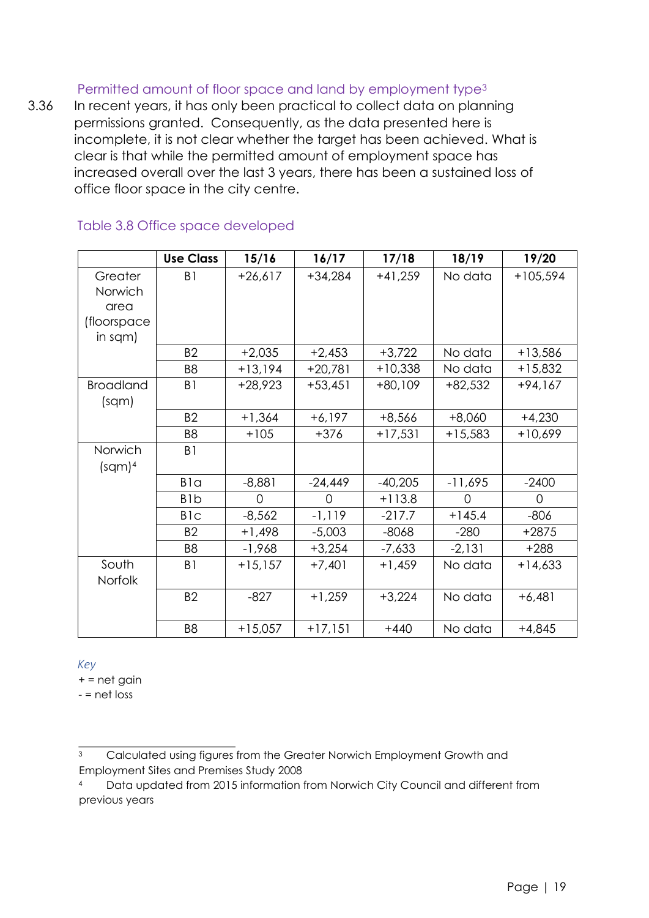# Permitted amount of floor space and land by employment type<sup>3</sup>

3.36 In recent years, it has only been practical to collect data on planning permissions granted. Consequently, as the data presented here is incomplete, it is not clear whether the target has been achieved. What is clear is that while the permitted amount of employment space has increased overall over the last 3 years, there has been a sustained loss of office floor space in the city centre.

|                  | <b>Use Class</b> | 15/16     | 16/17     | 17/18     | 18/19     | 19/20      |
|------------------|------------------|-----------|-----------|-----------|-----------|------------|
| Greater          | B1               | $+26,617$ | $+34,284$ | $+41,259$ | No data   | $+105,594$ |
| Norwich          |                  |           |           |           |           |            |
| area             |                  |           |           |           |           |            |
| (floorspace      |                  |           |           |           |           |            |
| in sqm)          |                  |           |           |           |           |            |
|                  | <b>B2</b>        | $+2,035$  | $+2,453$  | $+3,722$  | No data   | $+13,586$  |
|                  | B <sub>8</sub>   | $+13,194$ | $+20,781$ | $+10,338$ | No data   | $+15,832$  |
| <b>Broadland</b> | B <sub>1</sub>   | $+28,923$ | $+53,451$ | $+80,109$ | $+82,532$ | $+94,167$  |
| (sqm)            |                  |           |           |           |           |            |
|                  | <b>B2</b>        | $+1,364$  | $+6,197$  | $+8,566$  | $+8,060$  | $+4,230$   |
|                  | B <sub>8</sub>   | $+105$    | +376      | $+17,531$ | $+15,583$ | +10,699    |
| Norwich          | B <sub>1</sub>   |           |           |           |           |            |
| $(sqm)^4$        |                  |           |           |           |           |            |
|                  | B <sub>la</sub>  | $-8,881$  | $-24,449$ | $-40,205$ | $-11,695$ | $-2400$    |
|                  | B <sub>1</sub> b | $\Omega$  | $\Omega$  | $+113.8$  | $\Omega$  | $\Omega$   |
|                  | B <sub>1</sub> c | $-8,562$  | $-1,119$  | $-217.7$  | $+145.4$  | $-806$     |
|                  | B <sub>2</sub>   | $+1,498$  | $-5,003$  | $-8068$   | $-280$    | $+2875$    |
|                  | B <sub>8</sub>   | $-1,968$  | $+3,254$  | $-7,633$  | $-2,131$  | $+288$     |
| South            | B <sub>1</sub>   | $+15,157$ | $+7,401$  | $+1,459$  | No data   | $+14,633$  |
| <b>Norfolk</b>   |                  |           |           |           |           |            |
|                  | <b>B2</b>        | $-827$    | $+1,259$  | $+3,224$  | No data   | $+6,481$   |
|                  |                  |           |           |           |           |            |
|                  | B <sub>8</sub>   | $+15,057$ | $+17,151$ | $+440$    | No data   | $+4,845$   |

#### Table 3.8 Office space developed

*Key*

 $+$  = net gain

 $-$  = net loss

<sup>&</sup>lt;sup>3</sup> Calculated using figures from the Greater Norwich Employment Growth and Employment Sites and Premises Study 2008

<sup>4</sup> Data updated from 2015 information from Norwich City Council and different from previous years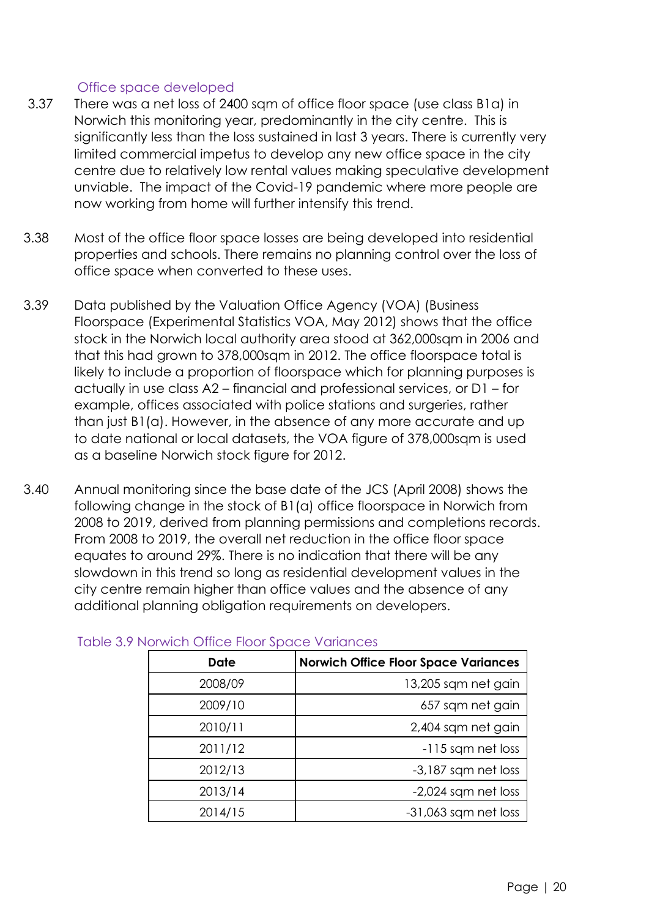# Office space developed

- 3.37 There was a net loss of 2400 sqm of office floor space (use class B1a) in Norwich this monitoring year, predominantly in the city centre. This is significantly less than the loss sustained in last 3 years. There is currently very limited commercial impetus to develop any new office space in the city centre due to relatively low rental values making speculative development unviable. The impact of the Covid-19 pandemic where more people are now working from home will further intensify this trend.
- 3.38 Most of the office floor space losses are being developed into residential properties and schools. There remains no planning control over the loss of office space when converted to these uses.
- 3.39 Data published by the Valuation Office Agency (VOA) (Business Floorspace (Experimental Statistics VOA, May 2012) shows that the office stock in the Norwich local authority area stood at 362,000sqm in 2006 and that this had grown to 378,000sqm in 2012. The office floorspace total is likely to include a proportion of floorspace which for planning purposes is actually in use class A2 – financial and professional services, or D1 – for example, offices associated with police stations and surgeries, rather than just B1(a). However, in the absence of any more accurate and up to date national or local datasets, the VOA figure of 378,000sqm is used as a baseline Norwich stock figure for 2012.
- 3.40 Annual monitoring since the base date of the JCS (April 2008) shows the following change in the stock of B1(a) office floorspace in Norwich from 2008 to 2019, derived from planning permissions and completions records. From 2008 to 2019, the overall net reduction in the office floor space equates to around 29%. There is no indication that there will be any slowdown in this trend so long as residential development values in the city centre remain higher than office values and the absence of any additional planning obligation requirements on developers.

| <b>Date</b> | <b>Norwich Office Floor Space Variances</b> |
|-------------|---------------------------------------------|
| 2008/09     | 13,205 sqm net gain                         |
| 2009/10     | 657 sqm net gain                            |
| 2010/11     | 2,404 sqm net gain                          |
| 2011/12     | -115 sqm net loss                           |
| 2012/13     | -3,187 sqm net loss                         |
| 2013/14     | -2,024 sqm net loss                         |
| 2014/15     | $-31,063$ sqm net loss                      |

#### Table 3.9 Norwich Office Floor Space Variances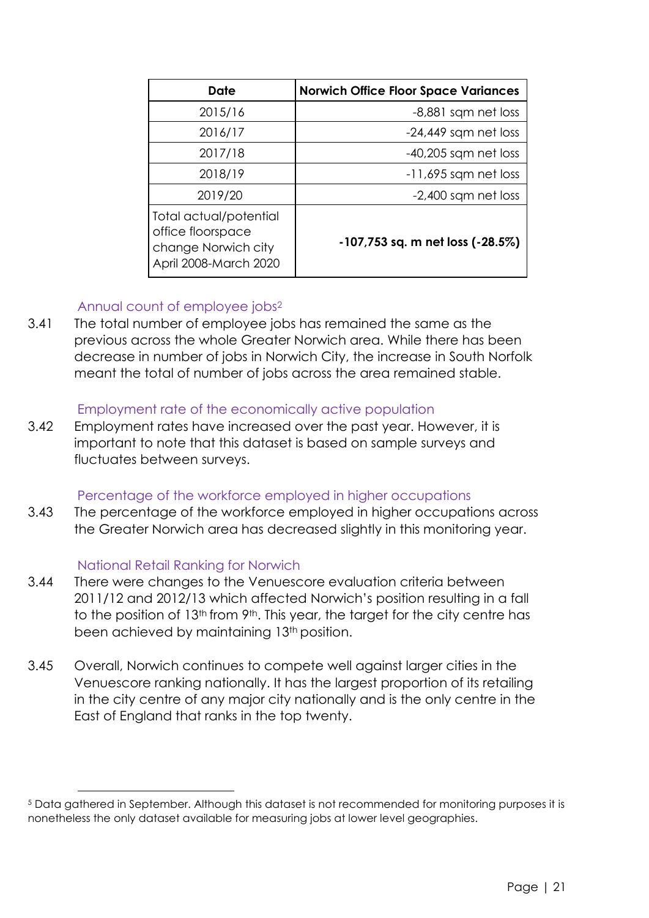| Date                                                                                        | <b>Norwich Office Floor Space Variances</b> |
|---------------------------------------------------------------------------------------------|---------------------------------------------|
| 2015/16                                                                                     | -8,881 sqm net loss                         |
| 2016/17                                                                                     | $-24,449$ sqm net loss                      |
| 2017/18                                                                                     | $-40,205$ sqm net loss                      |
| 2018/19                                                                                     | $-11,695$ sqm net loss                      |
| 2019/20                                                                                     | $-2,400$ sqm net loss                       |
| Total actual/potential<br>office floorspace<br>change Norwich city<br>April 2008-March 2020 | -107,753 sq. m net loss (-28.5%)            |

# Annual count of employee jobs<sup>2</sup>

3.41 The total number of employee jobs has remained the same as the previous across the whole Greater Norwich area. While there has been decrease in number of jobs in Norwich City, the increase in South Norfolk meant the total of number of jobs across the area remained stable.

# Employment rate of the economically active population

3.42 Employment rates have increased over the past year. However, it is important to note that this dataset is based on sample surveys and fluctuates between surveys.

# Percentage of the workforce employed in higher occupations

3.43 The percentage of the workforce employed in higher occupations across the Greater Norwich area has decreased slightly in this monitoring year.

# National Retail Ranking for Norwich

- 3.44 There were changes to the Venuescore evaluation criteria between 2011/12 and 2012/13 which affected Norwich's position resulting in a fall to the position of 13<sup>th</sup> from 9<sup>th</sup>. This year, the target for the city centre has been achieved by maintaining 13<sup>th</sup> position.
- 3.45 Overall, Norwich continues to compete well against larger cities in the Venuescore ranking nationally. It has the largest proportion of its retailing in the city centre of any major city nationally and is the only centre in the East of England that ranks in the top twenty.

<sup>&</sup>lt;sup>5</sup> Data gathered in September. Although this dataset is not recommended for monitoring purposes it is nonetheless the only dataset available for measuring jobs at lower level geographies.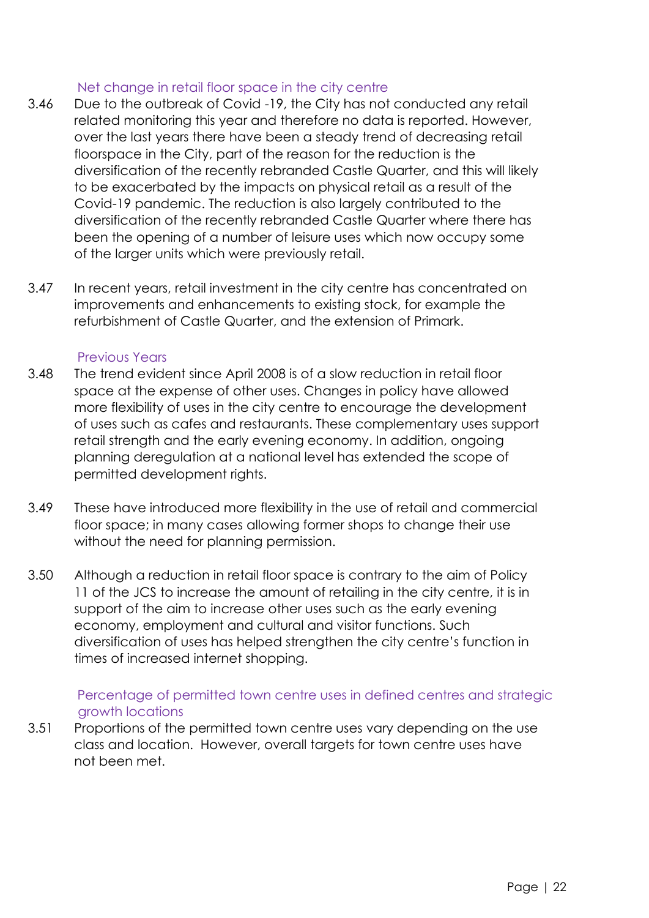# Net change in retail floor space in the city centre

- 3.46 Due to the outbreak of Covid -19, the City has not conducted any retail related monitoring this year and therefore no data is reported. However, over the last years there have been a steady trend of decreasing retail floorspace in the City, part of the reason for the reduction is the diversification of the recently rebranded Castle Quarter, and this will likely to be exacerbated by the impacts on physical retail as a result of the Covid-19 pandemic. The reduction is also largely contributed to the diversification of the recently rebranded Castle Quarter where there has been the opening of a number of leisure uses which now occupy some of the larger units which were previously retail.
- 3.47 In recent years, retail investment in the city centre has concentrated on improvements and enhancements to existing stock, for example the refurbishment of Castle Quarter, and the extension of Primark.

## Previous Years

- 3.48 The trend evident since April 2008 is of a slow reduction in retail floor space at the expense of other uses. Changes in policy have allowed more flexibility of uses in the city centre to encourage the development of uses such as cafes and restaurants. These complementary uses support retail strength and the early evening economy. In addition, ongoing planning deregulation at a national level has extended the scope of permitted development rights.
- 3.49 These have introduced more flexibility in the use of retail and commercial floor space; in many cases allowing former shops to change their use without the need for planning permission.
- 3.50 Although a reduction in retail floor space is contrary to the aim of Policy 11 of the JCS to increase the amount of retailing in the city centre, it is in support of the aim to increase other uses such as the early evening economy, employment and cultural and visitor functions. Such diversification of uses has helped strengthen the city centre's function in times of increased internet shopping.

# Percentage of permitted town centre uses in defined centres and strategic growth locations

3.51 Proportions of the permitted town centre uses vary depending on the use class and location. However, overall targets for town centre uses have not been met.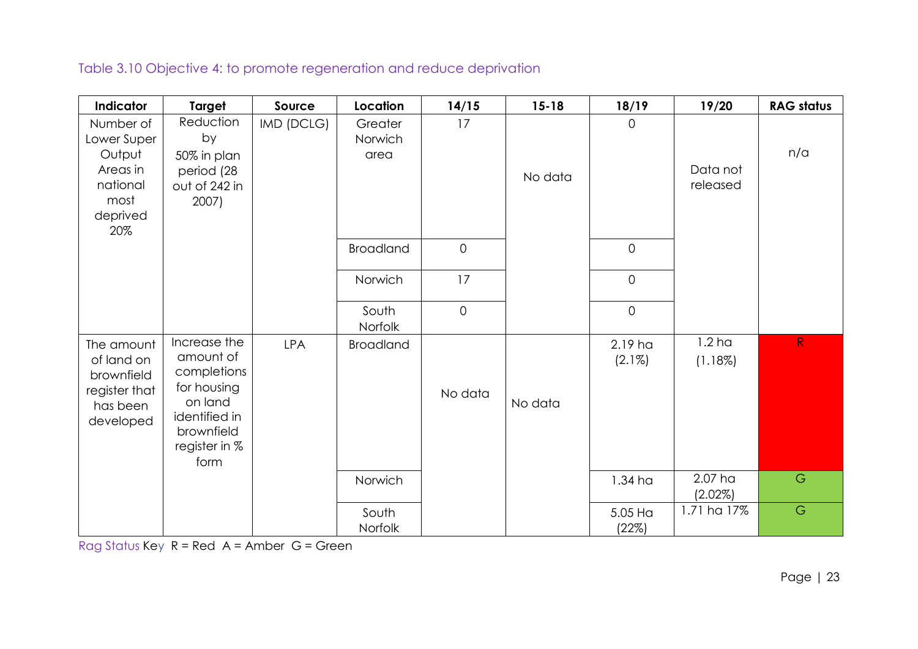Table 3.10 Objective 4: to promote regeneration and reduce deprivation

| Indicator                                                                             | <b>Target</b>                                                                                                              | Source     | Location                   | 14/15          | $15 - 18$ | 18/19                | 19/20                        | <b>RAG status</b> |
|---------------------------------------------------------------------------------------|----------------------------------------------------------------------------------------------------------------------------|------------|----------------------------|----------------|-----------|----------------------|------------------------------|-------------------|
| Number of<br>Lower Super<br>Output<br>Areas in<br>national<br>most<br>deprived<br>20% | Reduction<br>by<br>50% in plan<br>period (28<br>out of 242 in<br>2007)                                                     | IMD (DCLG) | Greater<br>Norwich<br>area | 17             | No data   | $\overline{0}$       | Data not<br>released         | n/a               |
|                                                                                       |                                                                                                                            |            | <b>Broadland</b>           | $\mathbf 0$    |           | $\overline{0}$       |                              |                   |
|                                                                                       |                                                                                                                            |            | Norwich                    | 17             |           | $\mathbf 0$          |                              |                   |
|                                                                                       |                                                                                                                            |            | South<br>Norfolk           | $\overline{0}$ |           | $\mathbf 0$          |                              |                   |
| The amount<br>of land on<br>brownfield<br>register that<br>has been<br>developed      | Increase the<br>amount of<br>completions<br>for housing<br>on land<br>identified in<br>brownfield<br>register in %<br>form | <b>LPA</b> | <b>Broadland</b>           | No data        | No data   | 2.19 ha<br>$(2.1\%)$ | 1.2 <sub>ha</sub><br>(1.18%) | R                 |
|                                                                                       |                                                                                                                            |            | Norwich                    |                |           | 1.34 <sub>ha</sub>   | 2.07 ha<br>(2.02%)           | $\mathsf G$       |
|                                                                                       |                                                                                                                            |            | South<br>Norfolk           |                |           | 5.05 Ha<br>(22%)     | 1.71 ha 17%                  | $\mathsf G$       |

Rag Status Key R = Red A = Amber G = Green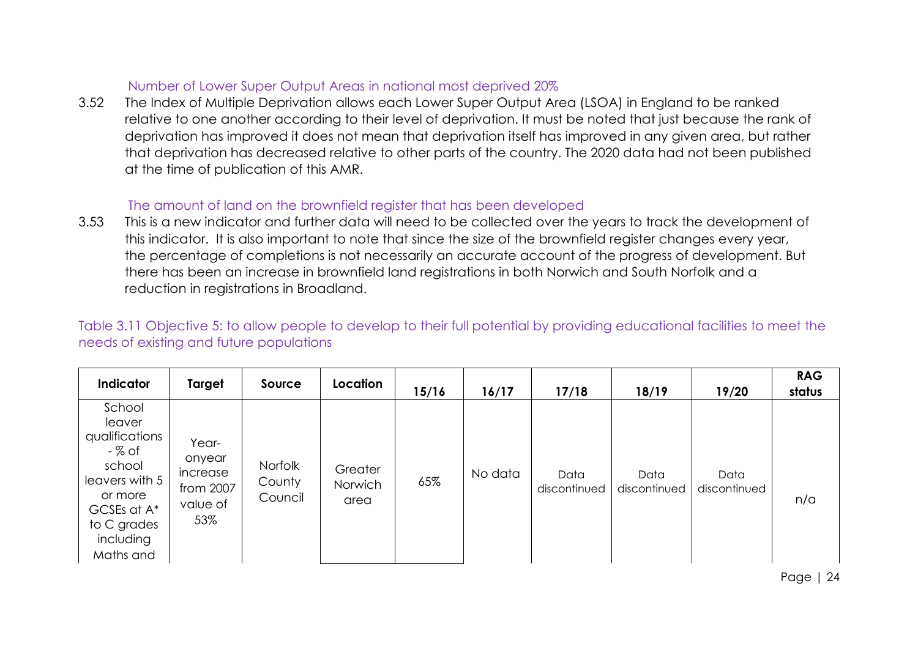## Number of Lower Super Output Areas in national most deprived 20%

3.52 The Index of Multiple Deprivation allows each Lower Super Output Area (LSOA) in England to be ranked relative to one another according to their level of deprivation. It must be noted that just because the rank of deprivation has improved it does not mean that deprivation itself has improved in any given area, but rather that deprivation has decreased relative to other parts of the country. The 2020 data had not been published at the time of publication of this AMR.

# The amount of land on the brownfield register that has been developed

3.53 This is a new indicator and further data will need to be collected over the years to track the development of this indicator. It is also important to note that since the size of the brownfield register changes every year, the percentage of completions is not necessarily an accurate account of the progress of development. But there has been an increase in brownfield land registrations in both Norwich and South Norfolk and a reduction in registrations in Broadland.

Table 3.11 Objective 5: to allow people to develop to their full potential by providing educational facilities to meet the needs of existing and future populations

| Indicator                                                                                                                                   | Target                                                      | Source                       | Location                   | 15/16 | 16/17   | 17/18                | 18/19                | 19/20                | <b>RAG</b><br>status |
|---------------------------------------------------------------------------------------------------------------------------------------------|-------------------------------------------------------------|------------------------------|----------------------------|-------|---------|----------------------|----------------------|----------------------|----------------------|
| School<br>leaver<br>qualifications<br>- % of<br>school<br>leavers with 5<br>or more<br>GCSEs at A*<br>to C grades<br>including<br>Maths and | Year-<br>onyear<br>increase<br>from 2007<br>value of<br>53% | Norfolk<br>County<br>Council | Greater<br>Norwich<br>area | 65%   | No data | Data<br>discontinued | Data<br>discontinued | Data<br>discontinued | n/a                  |

Page | 24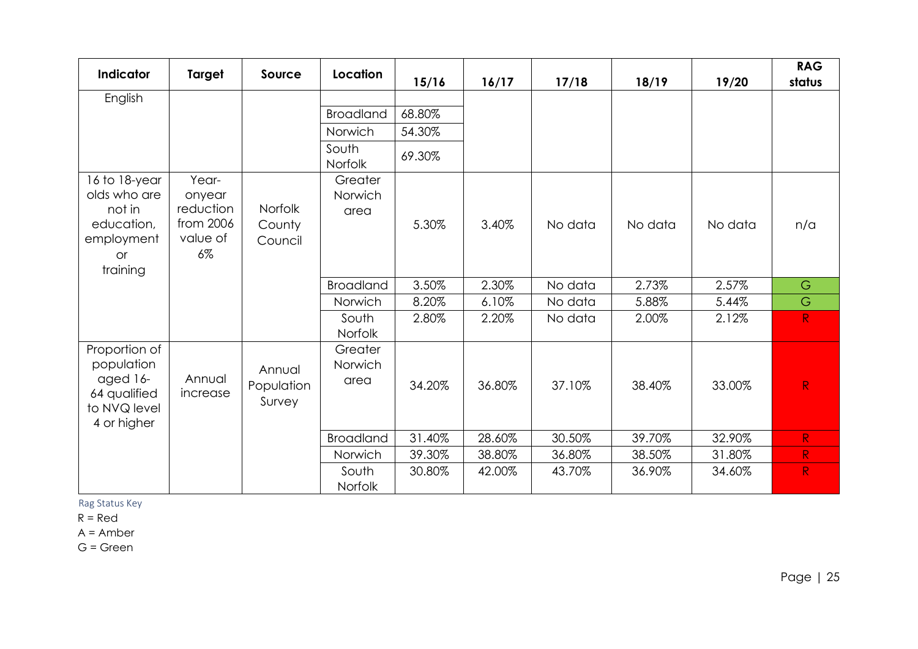| Indicator                                                                              | <b>Target</b>                                                  | Source                         | Location                   | 15/16  | 16/17  | 17/18   | 18/19   | 19/20   | <b>RAG</b><br>status |
|----------------------------------------------------------------------------------------|----------------------------------------------------------------|--------------------------------|----------------------------|--------|--------|---------|---------|---------|----------------------|
| English                                                                                |                                                                |                                |                            |        |        |         |         |         |                      |
|                                                                                        |                                                                |                                | <b>Broadland</b>           | 68.80% |        |         |         |         |                      |
|                                                                                        |                                                                |                                | Norwich                    | 54.30% |        |         |         |         |                      |
|                                                                                        |                                                                |                                | South<br>Norfolk           | 69.30% |        |         |         |         |                      |
| 16 to 18-year<br>olds who are<br>not in<br>education,<br>employment<br>or<br>training  | Year-<br>onyear<br>reduction<br>from 2006<br>value of<br>$6\%$ | Norfolk<br>County<br>Council   | Greater<br>Norwich<br>area | 5.30%  | 3.40%  | No data | No data | No data | n/a                  |
|                                                                                        |                                                                |                                | <b>Broadland</b>           | 3.50%  | 2.30%  | No data | 2.73%   | 2.57%   | G                    |
|                                                                                        |                                                                |                                | Norwich                    | 8.20%  | 6.10%  | No data | 5.88%   | 5.44%   | G                    |
|                                                                                        |                                                                |                                | South<br>Norfolk           | 2.80%  | 2.20%  | No data | 2.00%   | 2.12%   | R                    |
| Proportion of<br>population<br>aged 16-<br>64 qualified<br>to NVQ level<br>4 or higher | Annual<br>increase                                             | Annual<br>Population<br>Survey | Greater<br>Norwich<br>area | 34.20% | 36.80% | 37.10%  | 38.40%  | 33.00%  | R                    |
|                                                                                        |                                                                |                                | <b>Broadland</b>           | 31.40% | 28.60% | 30.50%  | 39.70%  | 32.90%  | R                    |
|                                                                                        |                                                                |                                | Norwich                    | 39.30% | 38.80% | 36.80%  | 38.50%  | 31.80%  | ${\sf R}$            |
|                                                                                        |                                                                |                                | South<br><b>Norfolk</b>    | 30.80% | 42.00% | 43.70%  | 36.90%  | 34.60%  | R                    |

Rag Status Key

 $R = Red$ 

A = Amber

G = Green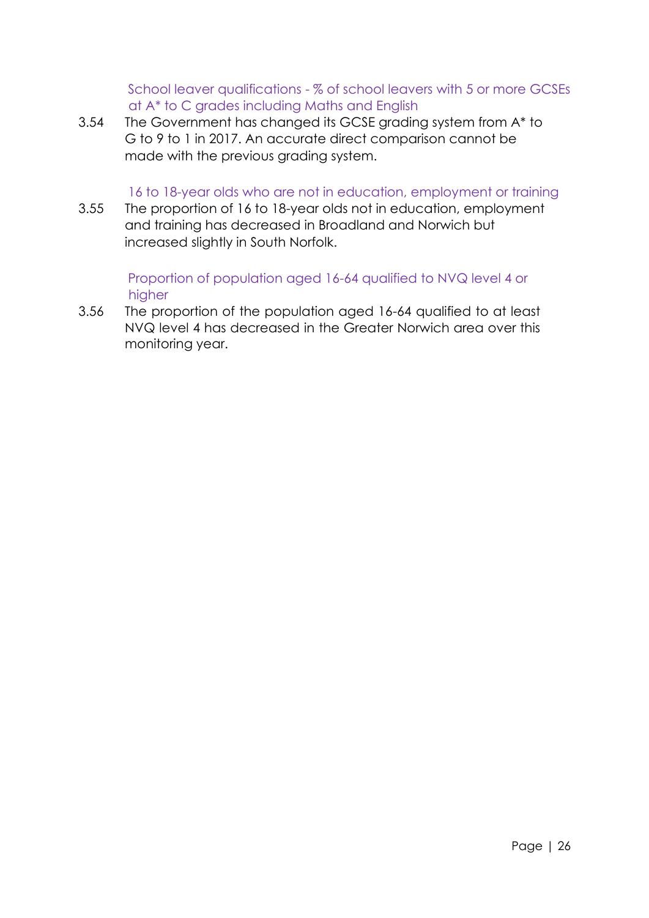School leaver qualifications - % of school leavers with 5 or more GCSEs at A\* to C grades including Maths and English

3.54 The Government has changed its GCSE grading system from A\* to G to 9 to 1 in 2017. An accurate direct comparison cannot be made with the previous grading system.

## 16 to 18-year olds who are not in education, employment or training

3.55 The proportion of 16 to 18-year olds not in education, employment and training has decreased in Broadland and Norwich but increased slightly in South Norfolk.

# Proportion of population aged 16-64 qualified to NVQ level 4 or higher

3.56 The proportion of the population aged 16-64 qualified to at least NVQ level 4 has decreased in the Greater Norwich area over this monitoring year.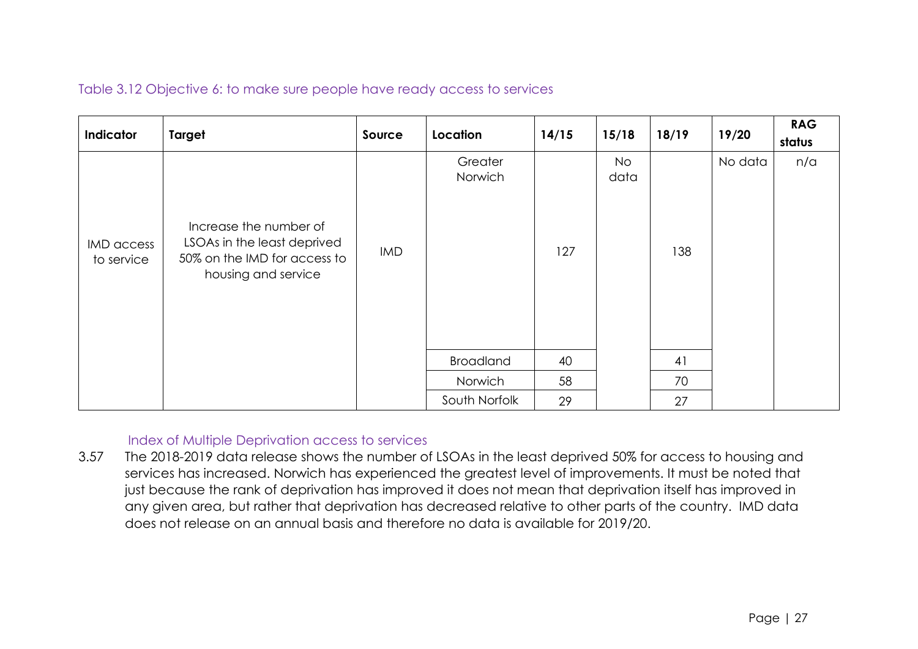Table 3.12 Objective 6: to make sure people have ready access to services

|                          |                                                                                                              |            |                    |       |                   | 18/19 |         | <b>RAG</b> |
|--------------------------|--------------------------------------------------------------------------------------------------------------|------------|--------------------|-------|-------------------|-------|---------|------------|
| Indicator                | <b>Target</b>                                                                                                | Source     | Location           | 14/15 | 15/18             |       | 19/20   | status     |
| IMD access<br>to service | Increase the number of<br>LSOAs in the least deprived<br>50% on the IMD for access to<br>housing and service | <b>IMD</b> | Greater<br>Norwich | 127   | <b>No</b><br>data | 138   | No data | n/a        |
|                          |                                                                                                              |            | <b>Broadland</b>   | 40    |                   | 41    |         |            |
|                          |                                                                                                              |            | Norwich            | 58    |                   | 70    |         |            |
|                          |                                                                                                              |            | South Norfolk      | 29    |                   | 27    |         |            |

# Index of Multiple Deprivation access to services

3.57 The 2018-2019 data release shows the number of LSOAs in the least deprived 50% for access to housing and services has increased. Norwich has experienced the greatest level of improvements. It must be noted that just because the rank of deprivation has improved it does not mean that deprivation itself has improved in any given area, but rather that deprivation has decreased relative to other parts of the country. IMD data does not release on an annual basis and therefore no data is available for 2019/20.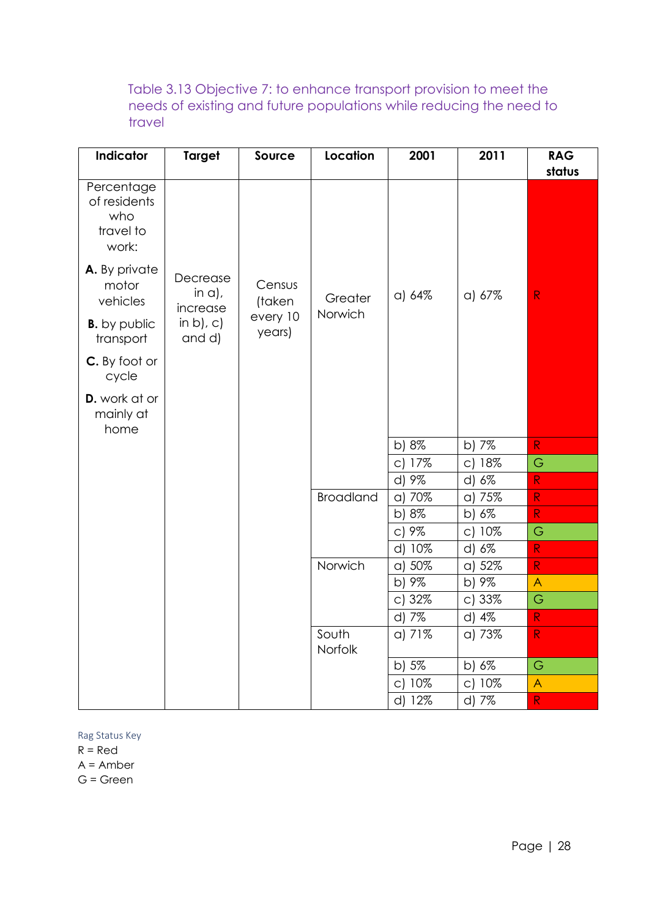Table 3.13 Objective 7: to enhance transport provision to meet the needs of existing and future populations while reducing the need to travel

| Indicator                                               | <b>Target</b>                     | Source             | Location           | 2001     | 2011                | <b>RAG</b>     |
|---------------------------------------------------------|-----------------------------------|--------------------|--------------------|----------|---------------------|----------------|
|                                                         |                                   |                    |                    |          |                     | status         |
| Percentage<br>of residents<br>who<br>travel to<br>work: |                                   |                    |                    |          |                     |                |
| A. By private<br>motor<br>vehicles                      | Decrease<br>in $a$ ),<br>increase | Census<br>(taken   | Greater<br>Norwich | a) 64%   | a) 67%              | ${\sf R}$      |
| <b>B.</b> by public<br>transport                        | in $b$ ), $c$ )<br>and d)         | every 10<br>years) |                    |          |                     |                |
| C. By foot or<br>cycle                                  |                                   |                    |                    |          |                     |                |
| <b>D.</b> work at or<br>mainly at<br>home               |                                   |                    |                    |          |                     |                |
|                                                         |                                   |                    |                    | b) $8\%$ | b) 7%               | $\mathsf{R}$   |
|                                                         |                                   |                    |                    | c) 17%   | c) 18%              | G              |
|                                                         |                                   |                    |                    | d) 9%    | d) 6%               | R              |
|                                                         |                                   |                    | <b>Broadland</b>   | a) 70%   | a) 75%              | ${\sf R}$      |
|                                                         |                                   |                    |                    | b) 8%    | b) 6%               | $\mathsf{R}$   |
|                                                         |                                   |                    |                    | $C$ ) 9% | 10%<br>$\mathsf{C}$ | G              |
|                                                         |                                   |                    |                    | d) 10%   | d) 6%               | ${\sf R}$      |
|                                                         |                                   |                    | Norwich            | a) 50%   | a) 52%              | $\mathsf{R}$   |
|                                                         |                                   |                    |                    | b) 9%    | b) 9%               | $\overline{A}$ |
|                                                         |                                   |                    |                    | c) 32%   | c) 33%              | G              |
|                                                         |                                   |                    |                    | d) 7%    | d) 4%               | ${\sf R}$      |
|                                                         |                                   |                    | South<br>Norfolk   | a) 71%   | a) 73%              | $\mathsf{R}$   |
|                                                         |                                   |                    |                    | b) 5%    | b) 6%               | G              |
|                                                         |                                   |                    |                    | c) 10%   | c) 10%              | $\bigwedge$    |
|                                                         |                                   |                    |                    | d) 12%   | d) 7%               | $\mathsf{R}$   |

Rag Status Key

 $R = Red$ 

A = Amber

G = Green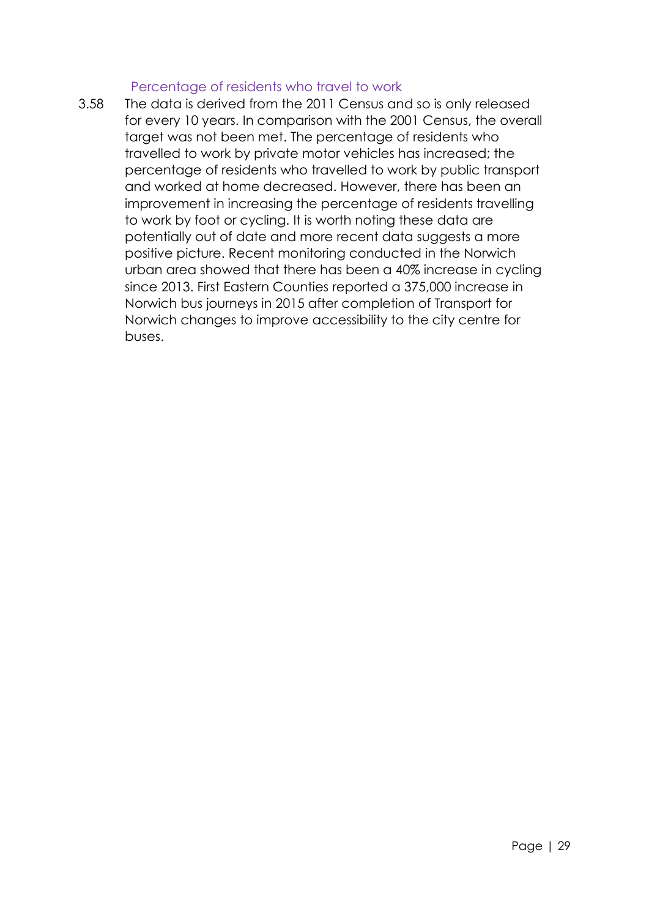#### Percentage of residents who travel to work

3.58 The data is derived from the 2011 Census and so is only released for every 10 years. In comparison with the 2001 Census, the overall target was not been met. The percentage of residents who travelled to work by private motor vehicles has increased; the percentage of residents who travelled to work by public transport and worked at home decreased. However, there has been an improvement in increasing the percentage of residents travelling to work by foot or cycling. It is worth noting these data are potentially out of date and more recent data suggests a more positive picture. Recent monitoring conducted in the Norwich urban area showed that there has been a 40% increase in cycling since 2013. First Eastern Counties reported a 375,000 increase in Norwich bus journeys in 2015 after completion of Transport for Norwich changes to improve accessibility to the city centre for buses.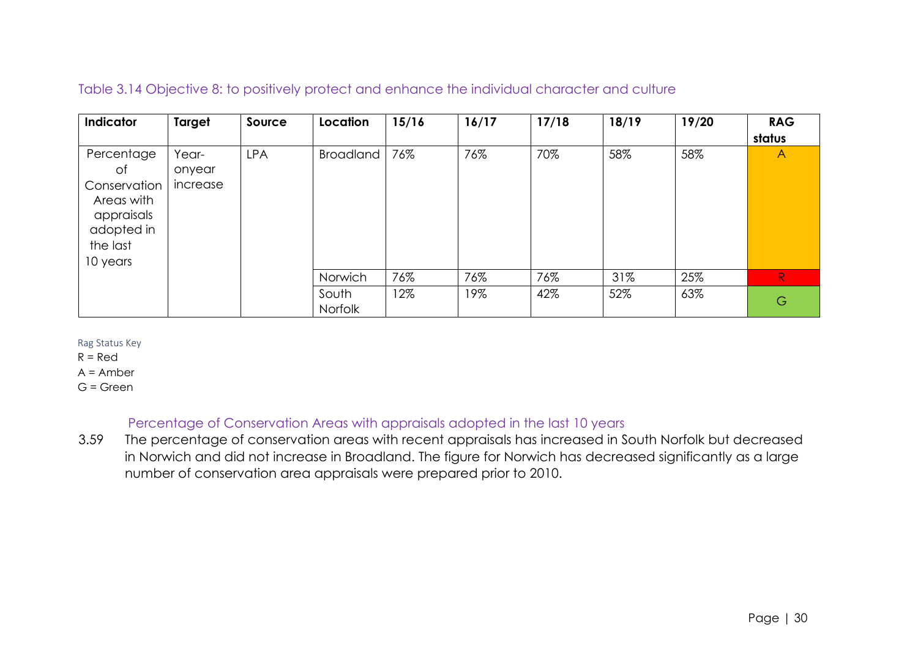# Table 3.14 Objective 8: to positively protect and enhance the individual character and culture

| Indicator                                                                                          | Target                      | Source     | Location         | 15/16 | 16/17 | 17/18 | 18/19 | 19/20 | <b>RAG</b><br>status |
|----------------------------------------------------------------------------------------------------|-----------------------------|------------|------------------|-------|-------|-------|-------|-------|----------------------|
| Percentage<br>of<br>Conservation<br>Areas with<br>appraisals<br>adopted in<br>the last<br>10 years | Year-<br>onyear<br>increase | <b>LPA</b> | <b>Broadland</b> | 76%   | 76%   | 70%   | 58%   | 58%   | $\mathsf{A}$         |
|                                                                                                    |                             |            | Norwich          | 76%   | 76%   | 76%   | 31%   | 25%   | $\mathsf{R}$         |
|                                                                                                    |                             |            | South<br>Norfolk | 12%   | 19%   | 42%   | 52%   | 63%   | G                    |

Rag Status Key

 $R = Red$ 

 $A =$  Amber

G = Green

# Percentage of Conservation Areas with appraisals adopted in the last 10 years

3.59 The percentage of conservation areas with recent appraisals has increased in South Norfolk but decreased in Norwich and did not increase in Broadland. The figure for Norwich has decreased significantly as a large number of conservation area appraisals were prepared prior to 2010.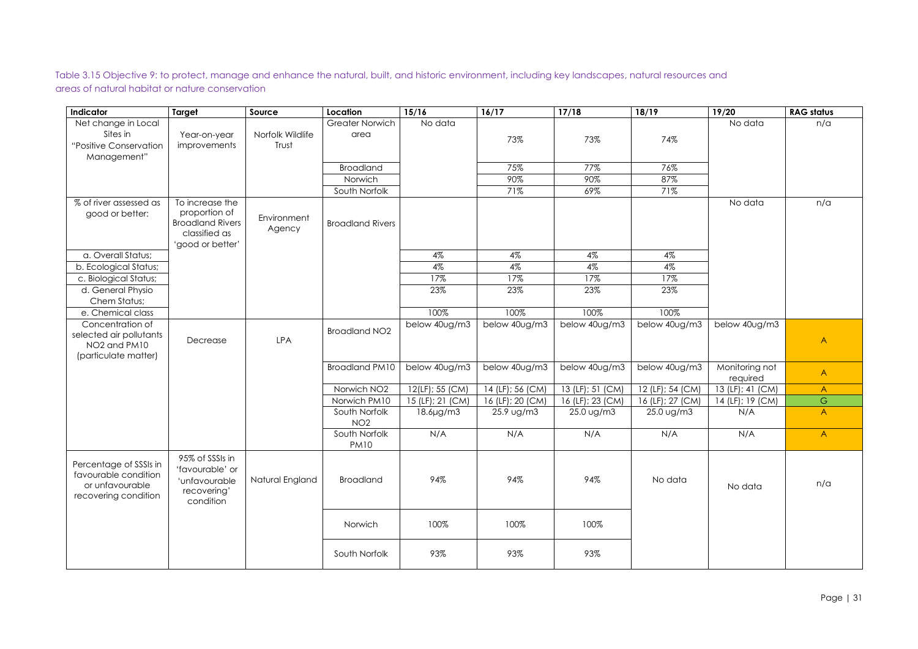Table 3.15 Objective 9: to protect, manage and enhance the natural, built, and historic environment, including key landscapes, natural resources and areas of natural habitat or nature conservation

| Indicator                               | <b>Target</b>                    | Source           | Location                | 15/16            | 16/17            | 17/18                | 18/19            | 19/20                        | <b>RAG status</b>       |
|-----------------------------------------|----------------------------------|------------------|-------------------------|------------------|------------------|----------------------|------------------|------------------------------|-------------------------|
| Net change in Local                     |                                  |                  | Greater Norwich         | No data          |                  |                      |                  | No data                      | n/a                     |
| Sites in                                | Year-on-year                     | Norfolk Wildlife | area                    |                  | 73%              | 73%                  | 74%              |                              |                         |
| "Positive Conservation                  | improvements                     | Trust            |                         |                  |                  |                      |                  |                              |                         |
| Management"                             |                                  |                  |                         |                  |                  |                      |                  |                              |                         |
|                                         |                                  |                  | <b>Broadland</b>        |                  | 75%              | 77%                  | 76%              |                              |                         |
|                                         |                                  |                  | Norwich                 |                  | 90%              | 90%                  | 87%              |                              |                         |
|                                         |                                  |                  | South Norfolk           |                  | 71%              | 69%                  | 71%              |                              |                         |
| % of river assessed as                  | To increase the<br>proportion of |                  |                         |                  |                  |                      |                  | No data                      | n/a                     |
| good or better:                         | <b>Broadland Rivers</b>          | Environment      | <b>Broadland Rivers</b> |                  |                  |                      |                  |                              |                         |
|                                         | classified as                    | Agency           |                         |                  |                  |                      |                  |                              |                         |
|                                         | 'good or better'                 |                  |                         |                  |                  |                      |                  |                              |                         |
| a. Overall Status;                      |                                  |                  |                         | 4%               | 4%               | 4%                   | $4\%$            |                              |                         |
| b. Ecological Status;                   |                                  |                  |                         | 4%               | 4%               | 4%                   | $4\%$            |                              |                         |
| c. Biological Status;                   |                                  |                  |                         | 17%              | 17%              | 17%                  | 17%              |                              |                         |
| d. General Physio                       |                                  |                  |                         | 23%              | 23%              | 23%                  | 23%              |                              |                         |
| Chem Status;                            |                                  |                  |                         |                  |                  |                      |                  |                              |                         |
| e. Chemical class                       |                                  |                  |                         | 100%             | 100%             | 100%                 | 100%             |                              |                         |
| Concentration of                        |                                  |                  |                         | below 40ug/m3    | below 40ug/m3    | below 40ug/m3        | below 40ug/m3    | below 40ug/m3                |                         |
| selected air pollutants                 | Decrease                         | <b>LPA</b>       | <b>Broadland NO2</b>    |                  |                  |                      |                  |                              | $\overline{\mathsf{A}}$ |
| NO <sub>2</sub> and PM <sub>10</sub>    |                                  |                  |                         |                  |                  |                      |                  |                              |                         |
| (particulate matter)                    |                                  |                  |                         |                  |                  |                      |                  |                              |                         |
|                                         |                                  |                  | <b>Broadland PM10</b>   | below 40ug/m3    | below 40ug/m3    | below 40ug/m3        | below 40ug/m3    | Monitoring not               | $\mathsf{A}$            |
|                                         |                                  |                  | Norwich NO <sub>2</sub> | 12(LF); 55 (CM)  | 14 (LF); 56 (CM) | 13 (LF); 51 (CM)     | 12 (LF); 54 (CM) | required<br>13 (LF); 41 (CM) | $\mathsf{A}$            |
|                                         |                                  |                  | Norwich PM10            | 15 (LF); 21 (CM) | 16 (LF); 20 (CM) | 16 (LF); 23 (CM)     | 16 (LF); 27 (CM) | 14 (LF); 19 (CM)             | $\mathbb G$             |
|                                         |                                  |                  | South Norfolk           | $18.6 \mu g/m3$  | 25.9 ug/m3       | $25.0 \text{ ug/m3}$ | 25.0 ug/m3       | N/A                          | $\overline{A}$          |
|                                         |                                  |                  | NO <sub>2</sub>         |                  |                  |                      |                  |                              |                         |
|                                         |                                  |                  | South Norfolk           | N/A              | N/A              | N/A                  | N/A              | N/A                          | $\overline{A}$          |
|                                         |                                  |                  | <b>PM10</b>             |                  |                  |                      |                  |                              |                         |
|                                         | 95% of SSSIs in                  |                  |                         |                  |                  |                      |                  |                              |                         |
| Percentage of SSSIs in                  | 'favourable' or                  |                  |                         |                  |                  |                      |                  |                              |                         |
| favourable condition                    | 'unfavourable                    | Natural England  | <b>Broadland</b>        | 94%              | 94%              | 94%                  | No data          |                              | n/a                     |
| or unfavourable<br>recovering condition | recovering'                      |                  |                         |                  |                  |                      |                  | No data                      |                         |
|                                         | condition                        |                  |                         |                  |                  |                      |                  |                              |                         |
|                                         |                                  |                  |                         |                  |                  |                      |                  |                              |                         |
|                                         |                                  |                  | Norwich                 | 100%             | 100%             | 100%                 |                  |                              |                         |
|                                         |                                  |                  |                         |                  |                  |                      |                  |                              |                         |
|                                         |                                  |                  | South Norfolk           | 93%              | 93%              | 93%                  |                  |                              |                         |
|                                         |                                  |                  |                         |                  |                  |                      |                  |                              |                         |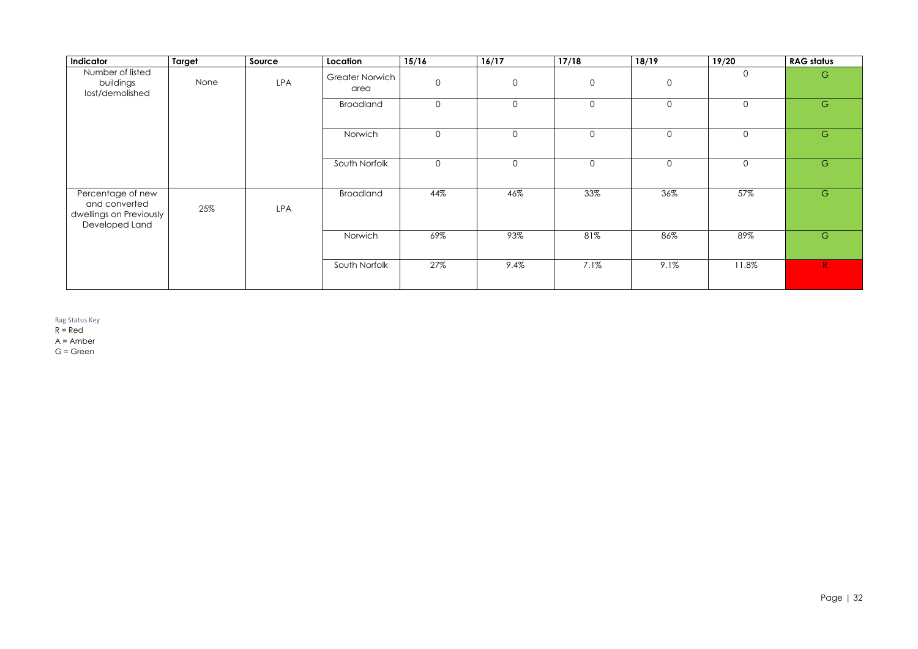| Indicator                                                                       | <b>Target</b> | Source     | Location                       | 15/16          | 16/17          | 17/18          | 18/19          | 19/20          | <b>RAG status</b> |
|---------------------------------------------------------------------------------|---------------|------------|--------------------------------|----------------|----------------|----------------|----------------|----------------|-------------------|
| Number of listed<br>buildings<br>lost/demolished                                | None          | LPA        | <b>Greater Norwich</b><br>area | $\overline{0}$ | $\mathbf 0$    | $\overline{O}$ | $\overline{0}$ | $\overline{0}$ | G                 |
|                                                                                 |               |            | <b>Broadland</b>               | $\overline{0}$ | $\mathsf O$    | $\overline{O}$ | $\mathsf{O}$   | $\overline{0}$ | ${\mathbb G}$     |
|                                                                                 |               |            | Norwich                        | $\overline{O}$ | $\overline{O}$ | $\overline{O}$ | $\overline{0}$ | $\overline{0}$ | $\mathsf{G}$      |
|                                                                                 |               |            | South Norfolk                  | $\overline{0}$ | $\mathsf O$    | $\overline{O}$ | $\mathbf 0$    | $\overline{0}$ | ${\mathbb G}$     |
| Percentage of new<br>and converted<br>dwellings on Previously<br>Developed Land | 25%           | <b>LPA</b> | <b>Broadland</b>               | 44%            | 46%            | 33%            | 36%            | 57%            | ${\mathbb G}$     |
|                                                                                 |               |            | Norwich                        | 69%            | 93%            | 81%            | 86%            | 89%            | G                 |
|                                                                                 |               |            | South Norfolk                  | 27%            | 9.4%           | 7.1%           | 9.1%           | 11.8%          | R                 |

Rag Status Key

 $R = Red$ 

A = Amber

G = Green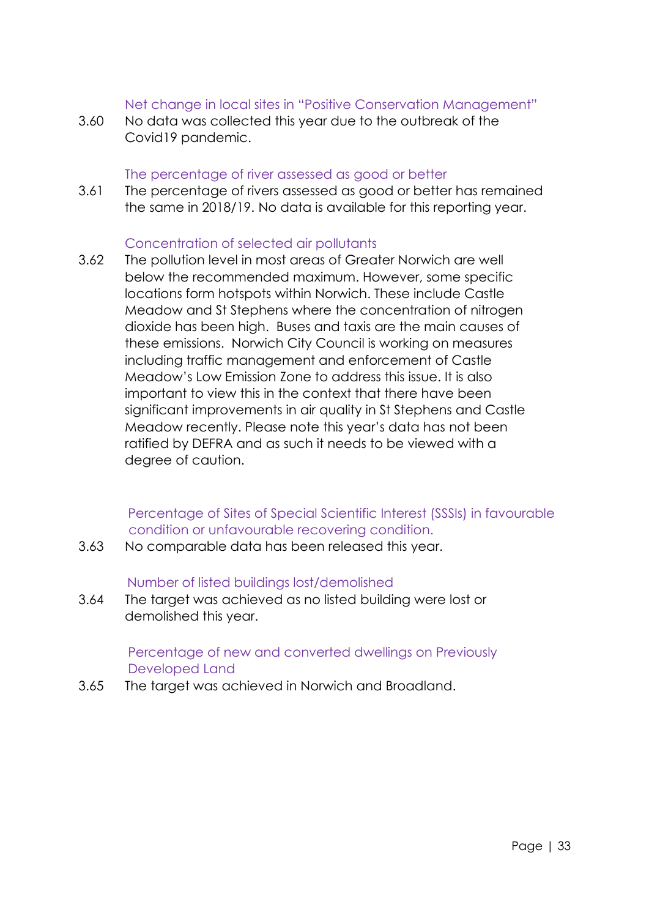## Net change in local sites in "Positive Conservation Management"

3.60 No data was collected this year due to the outbreak of the Covid19 pandemic.

#### The percentage of river assessed as good or better

3.61 The percentage of rivers assessed as good or better has remained the same in 2018/19. No data is available for this reporting year.

## Concentration of selected air pollutants

3.62 The pollution level in most areas of Greater Norwich are well below the recommended maximum. However, some specific locations form hotspots within Norwich. These include Castle Meadow and St Stephens where the concentration of nitrogen dioxide has been high. Buses and taxis are the main causes of these emissions. Norwich City Council is working on measures including traffic management and enforcement of Castle Meadow's Low Emission Zone to address this issue. It is also important to view this in the context that there have been significant improvements in air quality in St Stephens and Castle Meadow recently. Please note this year's data has not been ratified by DEFRA and as such it needs to be viewed with a degree of caution.

#### Percentage of Sites of Special Scientific Interest (SSSIs) in favourable condition or unfavourable recovering condition.

3.63 No comparable data has been released this year.

#### Number of listed buildings lost/demolished

3.64 The target was achieved as no listed building were lost or demolished this year.

## Percentage of new and converted dwellings on Previously Developed Land

3.65 The target was achieved in Norwich and Broadland.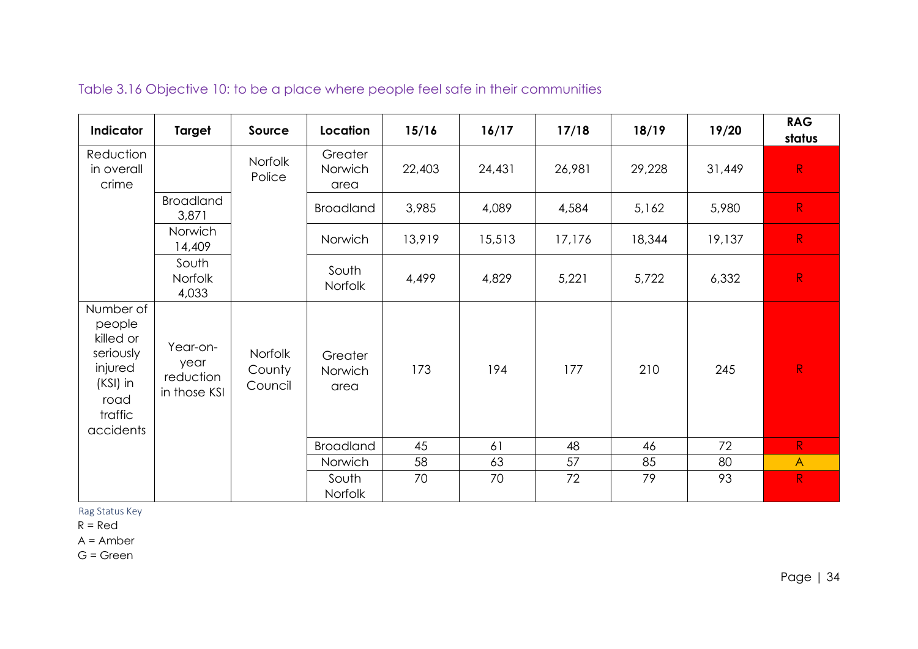| Indicator                                                                                            | <b>Target</b>                                 | Source                              | Location                   | 15/16  | 16/17  | 17/18  | 18/19  | 19/20  | <b>RAG</b><br>status |
|------------------------------------------------------------------------------------------------------|-----------------------------------------------|-------------------------------------|----------------------------|--------|--------|--------|--------|--------|----------------------|
| Reduction<br>in overall<br>crime                                                                     |                                               | <b>Norfolk</b><br>Police            | Greater<br>Norwich<br>area | 22,403 | 24,431 | 26,981 | 29,228 | 31,449 | R                    |
|                                                                                                      | <b>Broadland</b><br>3,871                     |                                     | <b>Broadland</b>           | 3,985  | 4,089  | 4,584  | 5,162  | 5,980  | R                    |
|                                                                                                      | Norwich<br>14,409                             |                                     | Norwich                    | 13,919 | 15,513 | 17,176 | 18,344 | 19,137 | R                    |
|                                                                                                      | South<br><b>Norfolk</b><br>4,033              |                                     | South<br>Norfolk           | 4,499  | 4,829  | 5,221  | 5,722  | 6,332  | R                    |
| Number of<br>people<br>killed or<br>seriously<br>injured<br>(KSI) in<br>road<br>traffic<br>accidents | Year-on-<br>year<br>reduction<br>in those KSI | <b>Norfolk</b><br>County<br>Council | Greater<br>Norwich<br>area | 173    | 194    | 177    | 210    | 245    | R                    |
|                                                                                                      |                                               |                                     | <b>Broadland</b>           | 45     | 61     | 48     | 46     | 72     | R                    |
|                                                                                                      |                                               |                                     | Norwich                    | 58     | 63     | 57     | 85     | 80     | $\overline{A}$       |
|                                                                                                      |                                               |                                     | South<br>Norfolk           | 70     | 70     | 72     | 79     | 93     | R                    |

# Table 3.16 Objective 10: to be a place where people feel safe in their communities

Rag Status Key

 $R = Red$ 

A = Amber

G = Green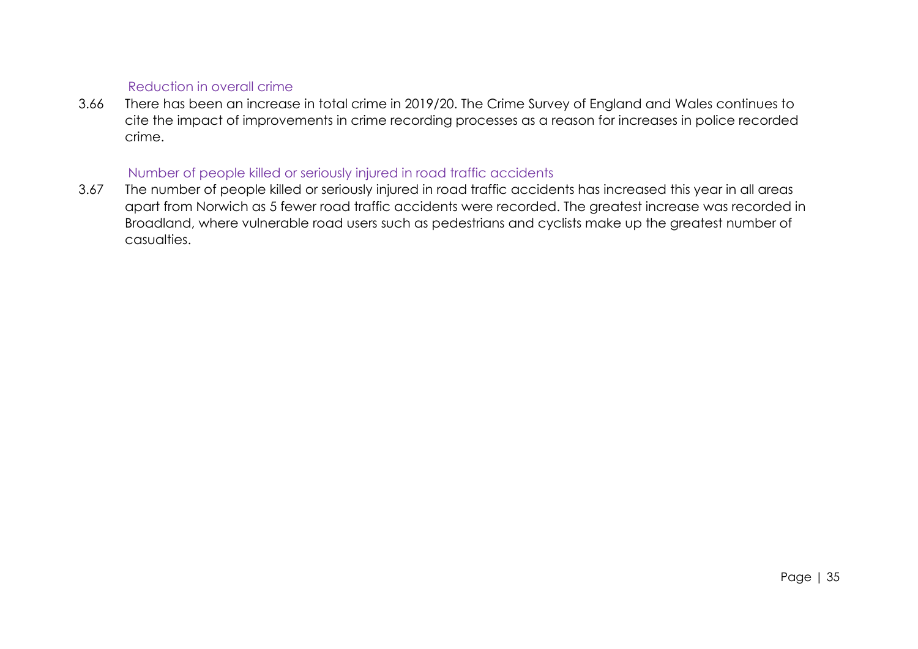# Reduction in overall crime

3.66 There has been an increase in total crime in 2019/20. The Crime Survey of England and Wales continues to cite the impact of improvements in crime recording processes as a reason for increases in police recorded crime.

### Number of people killed or seriously injured in road traffic accidents

3.67 The number of people killed or seriously injured in road traffic accidents has increased this year in all areas apart from Norwich as 5 fewer road traffic accidents were recorded. The greatest increase was recorded in Broadland, where vulnerable road users such as pedestrians and cyclists make up the greatest number of casualties.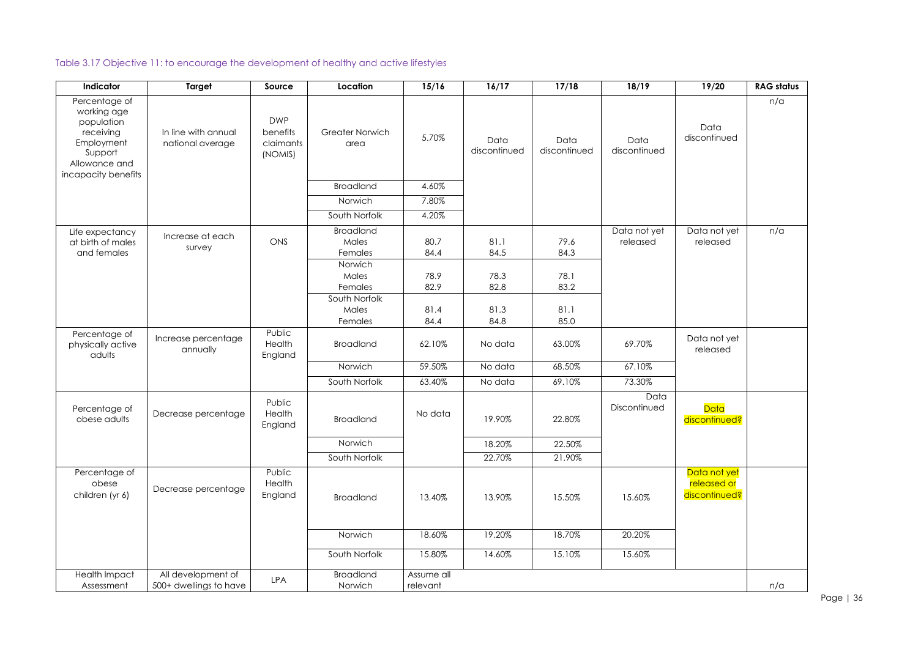# Table 3.17 Objective 11: to encourage the development of healthy and active lifestyles

| Indicator                                                                                                                | <b>Target</b>                                | Source                                         | Location                                        | 15/16                  | 16/17                | 17/18                | 18/19                    | 19/20                                        | <b>RAG status</b> |
|--------------------------------------------------------------------------------------------------------------------------|----------------------------------------------|------------------------------------------------|-------------------------------------------------|------------------------|----------------------|----------------------|--------------------------|----------------------------------------------|-------------------|
| Percentage of<br>working age<br>population<br>receiving<br>Employment<br>Support<br>Allowance and<br>incapacity benefits | In line with annual<br>national average      | <b>DWP</b><br>benefits<br>claimants<br>(NOMIS) | <b>Greater Norwich</b><br>area                  | 5.70%                  | Data<br>discontinued | Data<br>discontinued | Data<br>discontinued     | Data<br>discontinued                         | n/a               |
|                                                                                                                          |                                              |                                                | <b>Broadland</b>                                | 4.60%                  |                      |                      |                          |                                              |                   |
|                                                                                                                          |                                              |                                                | Norwich                                         | 7.80%                  |                      |                      |                          |                                              |                   |
|                                                                                                                          |                                              |                                                | South Norfolk                                   | 4.20%                  |                      |                      |                          |                                              |                   |
| Life expectancy<br>at birth of males<br>and females                                                                      | Increase at each<br>survey                   | ONS                                            | <b>Broadland</b><br>Males<br>Females<br>Norwich | 80.7<br>84.4           | 81.1<br>84.5         | 79.6<br>84.3         | Data not yet<br>released | Data not yet<br>released                     | n/a               |
|                                                                                                                          |                                              |                                                | Males<br>Females                                | 78.9<br>82.9           | 78.3<br>82.8         | 78.1<br>83.2         |                          |                                              |                   |
|                                                                                                                          |                                              |                                                | South Norfolk<br>Males<br>Females               | 81.4<br>84.4           | 81.3<br>84.8         | 81.1<br>85.0         |                          |                                              |                   |
| Percentage of<br>physically active<br>adults                                                                             | Increase percentage<br>annually              | Public<br>Health<br>England                    | <b>Broadland</b>                                | 62.10%                 | No data              | 63.00%               | 69.70%                   | Data not yet<br>released                     |                   |
|                                                                                                                          |                                              |                                                | Norwich                                         | 59.50%                 | No data              | 68.50%               | 67.10%                   |                                              |                   |
|                                                                                                                          |                                              |                                                | South Norfolk                                   | 63.40%                 | No data              | 69.10%               | 73.30%                   |                                              |                   |
| Percentage of<br>obese adults                                                                                            | Decrease percentage                          | Public<br>Health<br>England                    | <b>Broadland</b>                                | No data                | 19.90%               | 22.80%               | Data<br>Discontinued     | Data<br>discontinued?                        |                   |
|                                                                                                                          |                                              |                                                | Norwich                                         |                        | 18.20%               | 22.50%               |                          |                                              |                   |
|                                                                                                                          |                                              |                                                | South Norfolk                                   |                        | 22.70%               | 21.90%               |                          |                                              |                   |
| Percentage of<br>obese<br>children (yr 6)                                                                                | Decrease percentage                          | Public<br>Health<br>England                    | <b>Broadland</b>                                | 13.40%                 | 13.90%               | 15.50%               | 15.60%                   | Data not yet<br>released or<br>discontinued? |                   |
|                                                                                                                          |                                              |                                                | Norwich                                         | 18.60%                 | 19.20%               | 18.70%               | 20.20%                   |                                              |                   |
|                                                                                                                          |                                              |                                                | South Norfolk                                   | 15.80%                 | 14.60%               | 15.10%               | 15.60%                   |                                              |                   |
| Health Impact<br>Assessment                                                                                              | All development of<br>500+ dwellings to have | <b>LPA</b>                                     | <b>Broadland</b><br>Norwich                     | Assume all<br>relevant |                      |                      |                          |                                              | n/a               |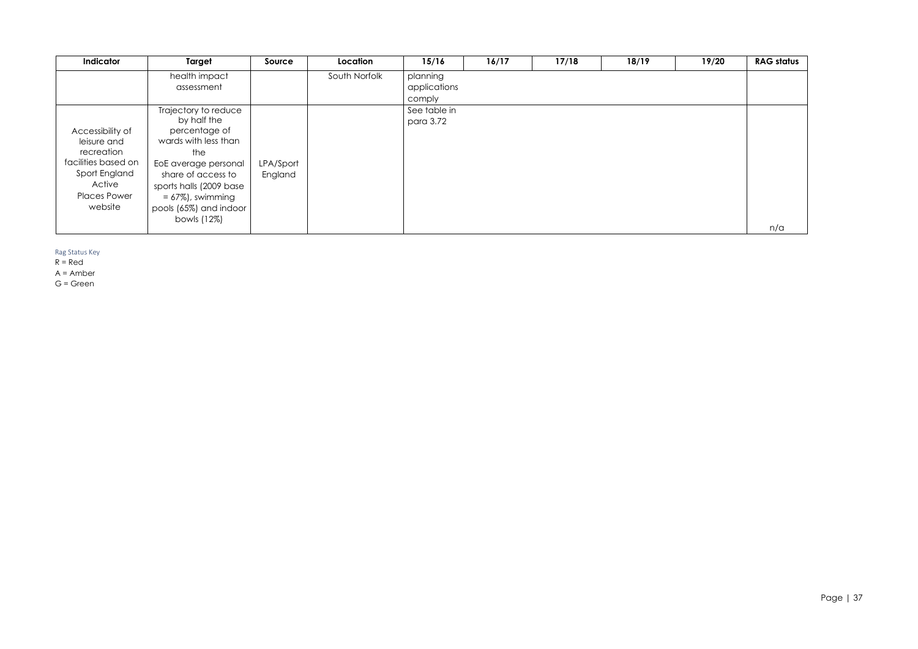| Indicator                                                                                                                         | Target                                                                                                                                                                                                                        | Source               | Location      | 15/16                              | 16/17 | 17/18 | 18/19 | 19/20 | <b>RAG status</b> |
|-----------------------------------------------------------------------------------------------------------------------------------|-------------------------------------------------------------------------------------------------------------------------------------------------------------------------------------------------------------------------------|----------------------|---------------|------------------------------------|-------|-------|-------|-------|-------------------|
|                                                                                                                                   | health impact<br>assessment                                                                                                                                                                                                   |                      | South Norfolk | planning<br>applications<br>comply |       |       |       |       |                   |
| Accessibility of<br>leisure and<br>recreation<br>facilities based on<br>Sport England<br>Active<br><b>Places Power</b><br>website | Trajectory to reduce<br>by half the<br>percentage of<br>wards with less than<br>the<br>EoE average personal<br>share of access to<br>sports halls (2009 base<br>$= 67\%)$ , swimming<br>pools (65%) and indoor<br>bowls (12%) | LPA/Sport<br>England |               | See table in<br>para 3.72          |       |       |       |       | n/a               |

Rag Status Key

 $R = Red$ 

A = Amber

G = Green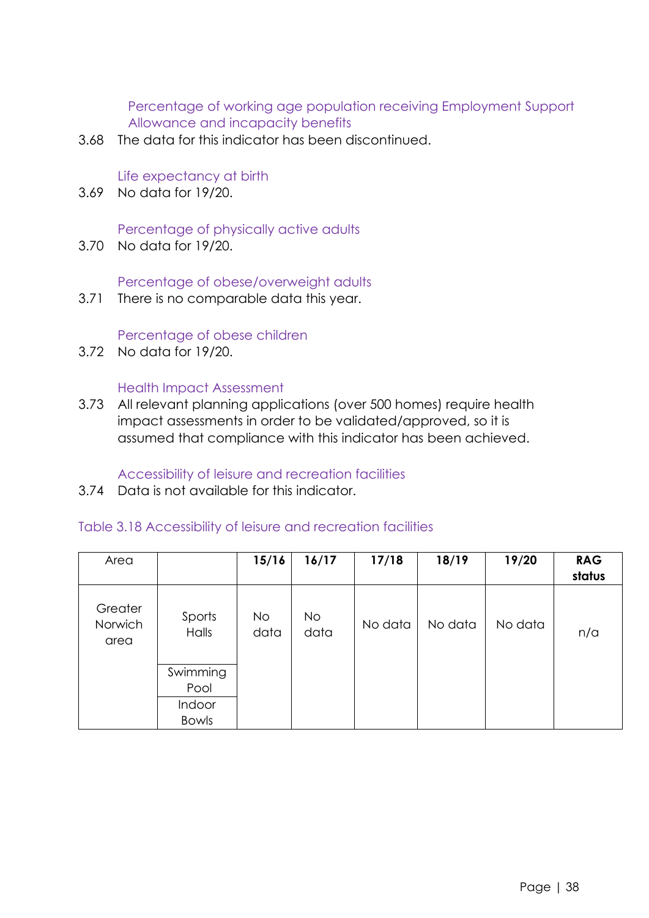Percentage of working age population receiving Employment Support Allowance and incapacity benefits

3.68 The data for this indicator has been discontinued.

Life expectancy at birth

3.69 No data for 19/20.

Percentage of physically active adults

3.70 No data for 19/20.

Percentage of obese/overweight adults

3.71 There is no comparable data this year.

## Percentage of obese children

3.72 No data for 19/20.

## Health Impact Assessment

3.73 All relevant planning applications (over 500 homes) require health impact assessments in order to be validated/approved, so it is assumed that compliance with this indicator has been achieved.

# Accessibility of leisure and recreation facilities

3.74 Data is not available for this indicator.

# Table 3.18 Accessibility of leisure and recreation facilities

| Area                       |                        | 15/16             | 16/17             | 17/18   | 18/19   | 19/20   | <b>RAG</b><br>status |
|----------------------------|------------------------|-------------------|-------------------|---------|---------|---------|----------------------|
| Greater<br>Norwich<br>area | Sports<br>Halls        | <b>No</b><br>data | <b>No</b><br>data | No data | No data | No data | n/a                  |
|                            | Swimming<br>Pool       |                   |                   |         |         |         |                      |
|                            | Indoor<br><b>Bowls</b> |                   |                   |         |         |         |                      |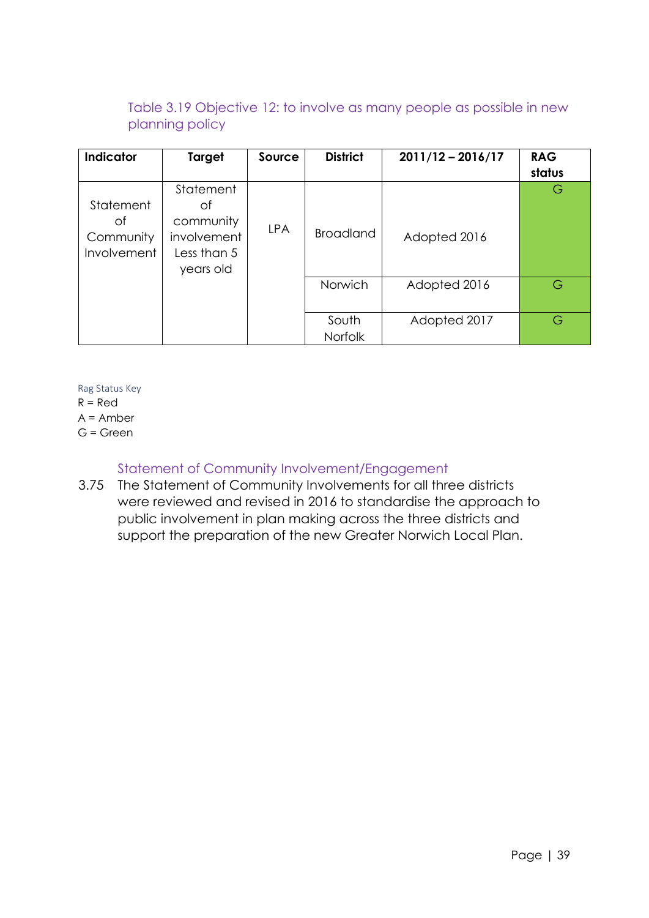# Table 3.19 Objective 12: to involve as many people as possible in new planning policy

| Indicator                                          | Target                                                                  | Source     | <b>District</b>  | $2011/12 - 2016/17$ | <b>RAG</b><br>status |
|----------------------------------------------------|-------------------------------------------------------------------------|------------|------------------|---------------------|----------------------|
| Statement<br>of<br>Community<br><b>Involvement</b> | Statement<br>οt<br>community<br>involvement<br>Less than 5<br>years old | <b>LPA</b> | <b>Broadland</b> | Adopted 2016        | G                    |
|                                                    |                                                                         |            | Norwich          | Adopted 2016        | G                    |
|                                                    |                                                                         |            | South<br>Norfolk | Adopted 2017        | G                    |

Rag Status Key

 $R = Red$ 

A = Amber

G = Green

# Statement of Community Involvement/Engagement

3.75 The Statement of Community Involvements for all three districts were reviewed and revised in 2016 to standardise the approach to public involvement in plan making across the three districts and support the preparation of the new Greater Norwich Local Plan.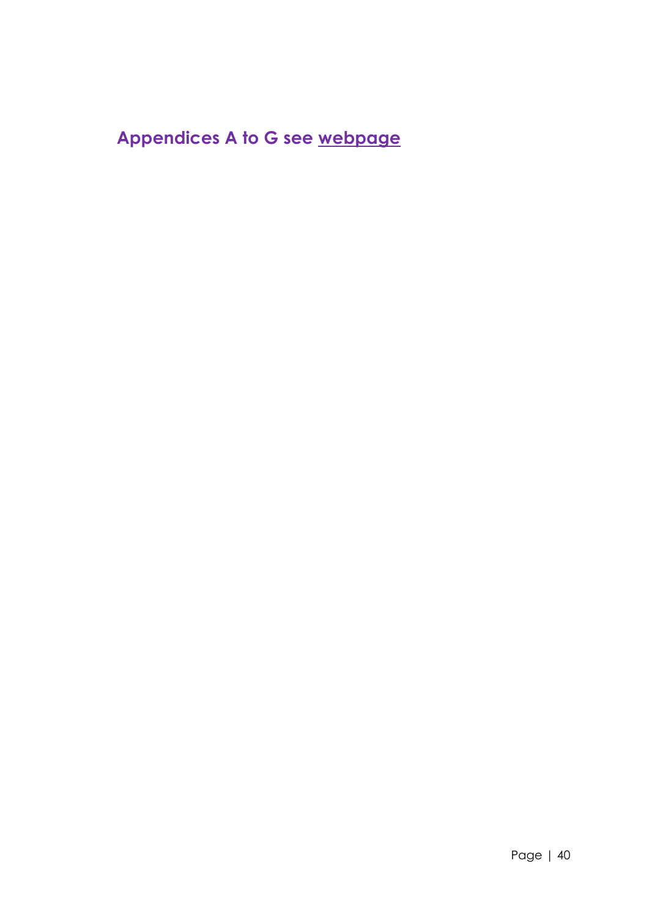# **Appendices A to G se[e](http://www.greaternorwichgrowth.org.uk/planning/monitoring/) [webpage](http://www.greaternorwichgrowth.org.uk/planning/monitoring/)**